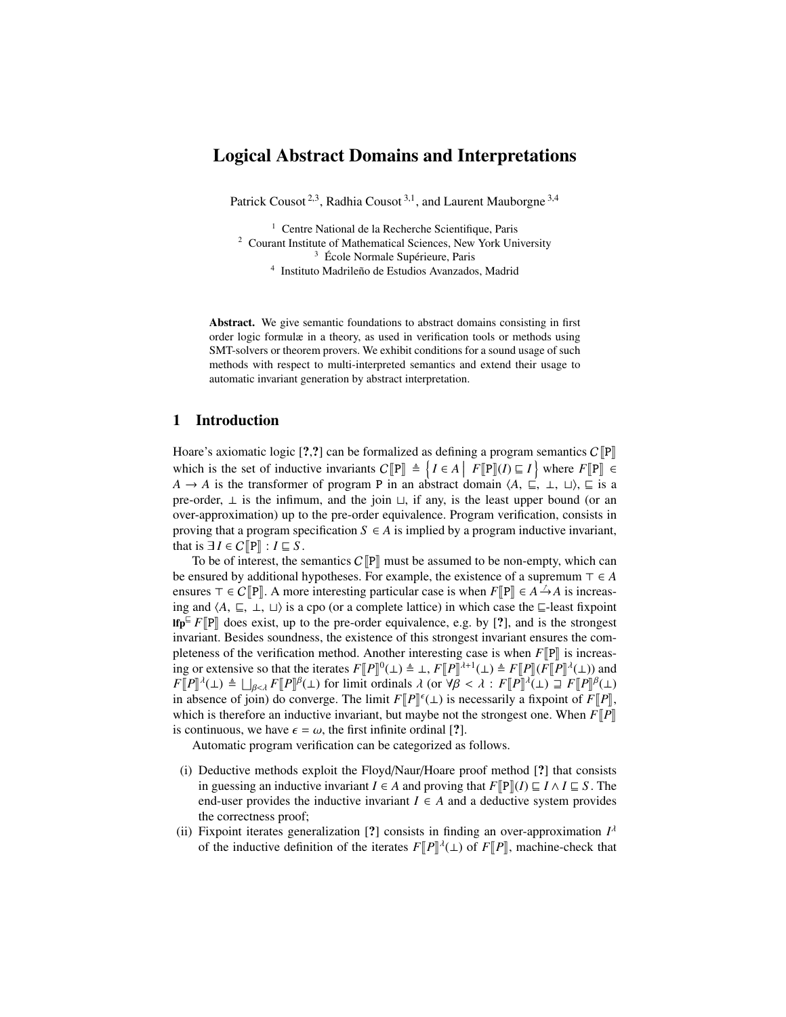# Logical Abstract Domains and Interpretations

Patrick Cousot<sup>2,3</sup>, Radhia Cousot<sup>3,1</sup>, and Laurent Mauborgne<sup>3,4</sup>

<sup>1</sup> Centre National de la Recherche Scientifique, Paris <sup>2</sup> Courant Institute of Mathematical Sciences, New York University  $3\,$  École Normale Supérieure, Paris

<sup>4</sup> Instituto Madrileño de Estudios Avanzados, Madrid

Abstract. We give semantic foundations to abstract domains consisting in first order logic formulæ in a theory, as used in verification tools or methods using SMT-solvers or theorem provers. We exhibit conditions for a sound usage of such methods with respect to multi-interpreted semantics and extend their usage to automatic invariant generation by abstract interpretation.

# 1 Introduction

Hoare's axiomatic logic [?,?] can be formalized as defining a program semantics  $C[\mathbb{P}]$ which is the set of inductive invariants  $C[\mathbb{P}] \triangleq \{I \in A \mid F[\mathbb{P}]](I) \sqsubseteq I\}$  where  $F[\mathbb{P}] \in A \rightarrow A$  is the transformer of program B in an abstract domain  $(A \sqsubseteq A \sqcup B) \sqsubseteq$  is a *A* → *A* is the transformer of program P in an abstract domain  $\langle A, \underline{\underline{\epsilon}}, \underline{\bot}, \underline{\bot} \rangle$ ,  $\underline{\underline{\epsilon}}$  is a pre-order,  $\perp$  is the infimum, and the join  $\sqcup$ , if any, is the least upper bound (or an over-approximation) up to the pre-order equivalence. Program verification, consists in proving that a program specification  $S \in A$  is implied by a program inductive invariant, that is  $\exists I \in C$   $\llbracket P \rrbracket : I \sqsubseteq S$ .

To be of interest, the semantics  $C\llbracket P \rrbracket$  must be assumed to be non-empty, which can be ensured by additional hypotheses. For example, the existence of a supremum  $\top \in A$ ensures  $\top \in C$   $[\![P]\!]$ . A more interesting particular case is when  $F[\![P]\!] \in A \stackrel{\sim}{\to} A$  is increas-<br>ing and  $(A \sqsubset \bot)$  is a cpo (or a complete lattice) in which case the  $\sqsubset$  least fixpoint ing and  $\langle A, \sqsubseteq, \perp, \sqcup \rangle$  is a cpo (or a complete lattice) in which case the  $\sqsubseteq$ -least fixpoint **If**p<sup> $\mathbb{F}$ **F** $\mathbb{F}$  does exist, up to the pre-order equivalence, e.g. by [?], and is the strongest</sup> invariant. Besides soundness, the existence of this strongest invariant ensures the completeness of the verification method. Another interesting case is when  $F[\mathbb{P}]$  is increasing or extensive so that the iterates  $F[P]^0(\perp) \triangleq \perp$ ,  $F[P]^{\perp+1}(\perp) \triangleq F[P][F[P]^{\perp}(\perp))$  and  $F[IP]^{\perp}(\perp) \triangleq \perp F[P]^{\perp}(\perp)$  for limit ordinals  $\downarrow$  (or  $\forall B \leq \perp$ )  $\downarrow$   $F[IP]^{\perp}(\perp) \supset F[IP]^{\perp}(\perp)$  $F[P]^{\lambda}(\perp) \triangleq \bigsqcup_{\beta \leq \lambda} F[P]^{\beta}(\perp)$  for limit ordinals  $\lambda$  (or  $\forall \beta < \lambda : F[P]^{\lambda}(\perp) \sqsupseteq F[P]^{\beta}(\perp)$ <br>in absence of join) do converge. The limit  $F[P]^{\epsilon}(\perp)$  is necessarily a fixpoint of  $F[P]^{\beta}$ in absence of join) do converge. The limit  $F[\![P]\!]^{\epsilon}(\bot)$  is necessarily a fixpoint of  $F[\![P]\!]$ ,<br>which is therefore an inductive inverient, but maybe not the strongest one. When  $F[\![P]\!]$ , which is therefore an inductive invariant, but maybe not the strongest one. When  $F\llbracket P \rrbracket$ is continuous, we have  $\epsilon = \omega$ , the first infinite ordinal [?].

Automatic program verification can be categorized as follows.

- <span id="page-0-1"></span>(i) Deductive methods exploit the Floyd/Naur/Hoare proof method [?] that consists in guessing an inductive invariant  $I \in A$  and proving that  $F[\mathbb{P}](I) \sqsubseteq I \wedge I \sqsubseteq S$ . The end-user provides the inductive invariant  $I \in A$  and a deductive system provides the correctness proof;
- <span id="page-0-0"></span>(ii) Fixpoint iterates generalization [?] consists in finding an over-approximation  $I^{\lambda}$ of the inductive definition of the iterates  $F[\![P]\!]^{\lambda}(\perp)$  of  $F[\![P]\!]$ , machine-check that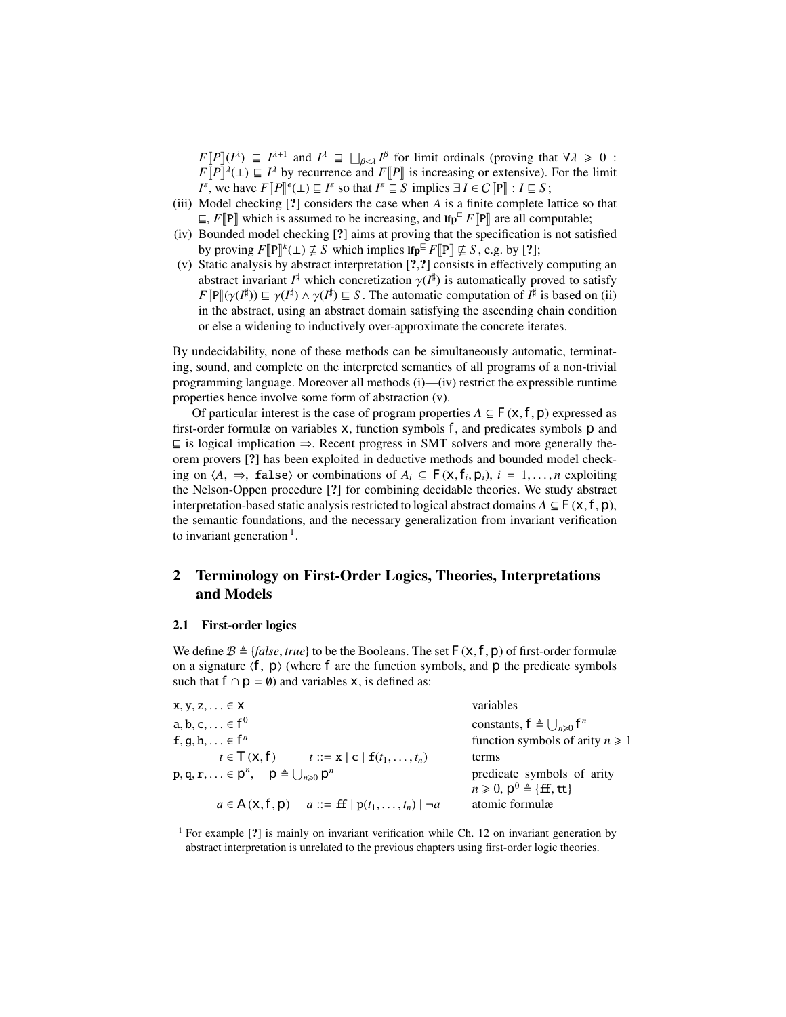$F[\![P]\!] (I^{\lambda}) \sqsubseteq I^{\lambda+1}$  and  $I^{\lambda} \sqsupseteq \bigsqcup_{\beta < \lambda} I^{\beta}$  for limit ordinals (proving that ∀ $\lambda \geq 0$  :  $F[\![P]\!]^{\lambda}$ ( $\bot$ )  $\sqsubset I^{\lambda}$  by recurrence and  $F[\![P]\!]$  is increasing or extensive). For the limit  $F[\![P]\!]^{\lambda}(\bot) \sqsubseteq I^{\lambda}$  by recurrence and  $F[\![P]\!]$  is increasing or extensive). For the limit  $I^{\varepsilon}$  we have  $F[\![P]\!]^{\varepsilon}(\bot) \sqsubseteq I^{\varepsilon}$  so that  $I^{\varepsilon} \sqsubseteq S$  implies  $\exists I \subseteq C[\![\mathbb{D}]\!] \cdot I \sqsubseteq S$ . *I*<sup>ε</sup>, we have  $F[\![P]\!]^{\epsilon}(\bot) \sqsubseteq I^{\epsilon}$  so that  $I^{\epsilon} \sqsubseteq S$  implies  $\exists I \in C[\![P]\!] : I \sqsubseteq S$ ;<br>Model checking [2] considers the case when A is a finite complete 1

- (iii) Model checking [?] considers the case when *A* is a finite complete lattice so that  $\subseteq$ , *F* $\Vert$ P $\Vert$  which is assumed to be increasing, and **lfp** $\subseteq$  *F* $\Vert$ P $\Vert$  are all computable;
- <span id="page-1-0"></span>(iv) Bounded model checking [?] aims at proving that the specification is not satisfied by proving  $F[\mathbb{P}]^k(\perp) \not\sqsubseteq S$  which implies  $\text{If}_{\mathbb{P}}^F[F[\mathbb{P}] \not\sqsubseteq S, e.g.$  by [?];<br>Static analysis by abstract interpretation [2, 2] consists in affectively
- <span id="page-1-1"></span>(v) Static analysis by abstract interpretation [?,?] consists in effectively computing an abstract invariant *I*<sup>‡</sup> which concretization  $\gamma(I^{\sharp})$  is automatically proved to satisfy  $F[\mathbb{P}](\gamma(I^{\sharp})) \sqsubset \gamma(I^{\sharp}) \wedge \gamma(I^{\sharp}) \sqsubset S$ . The automatic computation of *I*<sup> $\sharp$ </sup> is based on (ii)  $F[\mathbb{P}](\gamma(I^{\sharp})) \sqsubseteq \gamma(I^{\sharp}) \wedge \gamma(I^{\sharp}) \sqsubseteq S$ . The automatic computation of  $I^{\sharp}$  is based on [\(ii\)](#page-0-0) in the abstract using an abstract domain satisfying the ascending chain condition in the abstract, using an abstract domain satisfying the ascending chain condition or else a widening to inductively over-approximate the concrete iterates.

By undecidability, none of these methods can be simultaneously automatic, terminating, sound, and complete on the interpreted semantics of all programs of a non-trivial programming language. Moreover all methods [\(i\)](#page-0-1)[—\(iv\)](#page-1-0) restrict the expressible runtime properties hence involve some form of abstraction [\(v\).](#page-1-1)

Of particular interest is the case of program properties  $A \subseteq F(x, f, p)$  expressed as first-order formulæ on variables x, function symbols f, and predicates symbols p and  $\subseteq$  is logical implication  $\Rightarrow$ . Recent progress in SMT solvers and more generally theorem provers [?] has been exploited in deductive methods and bounded model checking on  $\langle A, \Rightarrow,$  false $\rangle$  or combinations of  $A_i$  ⊆  $F(x, f_i, p_i)$ ,  $i = 1, ..., n$  exploiting<br>the Nelson-Oppen procedure [2] for combining decidable theories. We study abstract the Nelson-Oppen procedure [?] for combining decidable theories. We study abstract interpretation-based static analysis restricted to logical abstract domains  $A \subseteq F(x, f, p)$ , the semantic foundations, and the necessary generalization from invariant verification to invariant generation  $<sup>1</sup>$  $<sup>1</sup>$  $<sup>1</sup>$ .</sup>

# 2 Terminology on First-Order Logics, Theories, Interpretations and Models

### 2.1 First-order logics

We define  $\mathcal{B} \triangleq \{false, true\}$  to be the Booleans. The set  $F(x, f, p)$  of first-order formulæ on a signature  $\langle f, p \rangle$  (where f are the function symbols, and p the predicate symbols such that  $f \cap p = \emptyset$  and variables x, is defined as:

| $X, Y, Z, \ldots \in X$                                      | variables                                                                         |
|--------------------------------------------------------------|-----------------------------------------------------------------------------------|
| a, b, c, $\in$ f <sup>0</sup>                                | constants, $f \triangleq \bigcup_{n \geq 0} f^n$                                  |
| $f, g, h, \ldots \in f^n$                                    | function symbols of arity $n \ge 1$                                               |
| $t \in T(x, f)$ $t ::= x   c   f(t_1, , t_n)$                | terms                                                                             |
| $p, q, r, \ldots \in p^n$ , $p \triangleq \bigcup_{n>0} p^n$ | predicate symbols of arity<br>$n \ge 0$ , $p^0 \triangleq {\text{ff}, \text{tt}}$ |
| $a \in A(x, f, p)$ $a ::= ff   p(t_1, \ldots, t_n)   \neg a$ | atomic formulæ                                                                    |

<span id="page-1-2"></span><sup>&</sup>lt;sup>1</sup> For example [?] is mainly on invariant verification while Ch. 12 on invariant generation by abstract interpretation is unrelated to the previous chapters using first-order logic theories.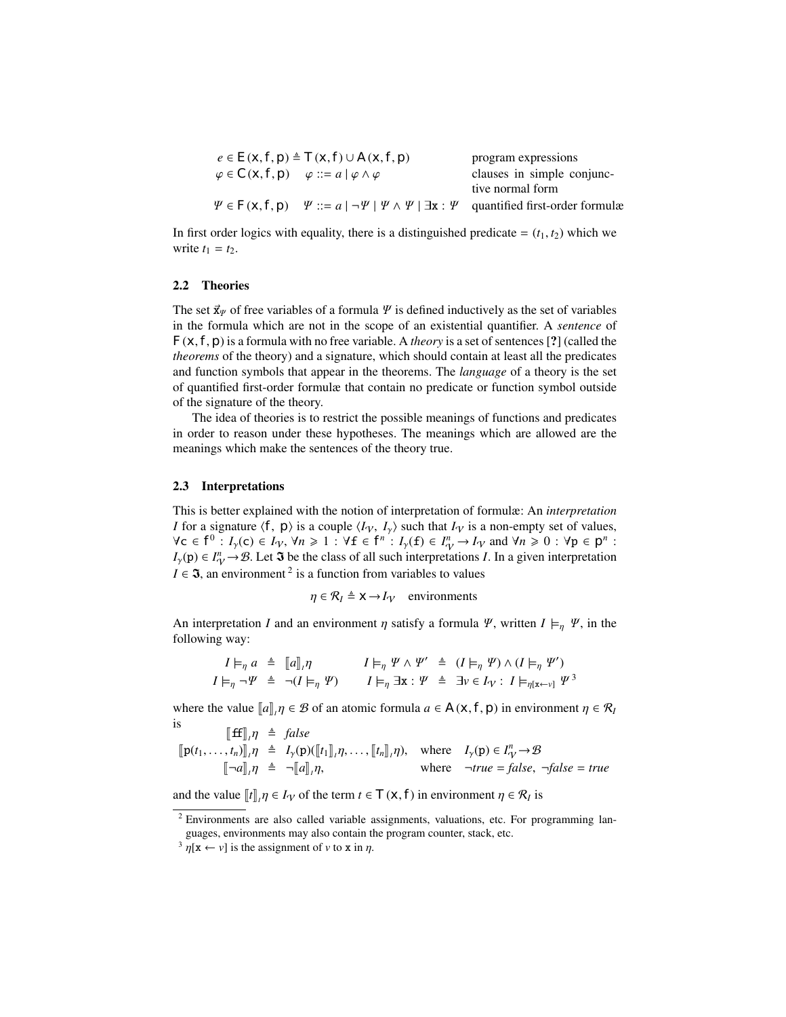|                                                                   | $e \in E(x, f, p) \triangleq T(x, f) \cup A(x, f, p)$                                                               | program expressions        |
|-------------------------------------------------------------------|---------------------------------------------------------------------------------------------------------------------|----------------------------|
| $\varphi \in C(x, f, p)$ $\varphi ::= a   \varphi \wedge \varphi$ |                                                                                                                     | clauses in simple conjunc- |
|                                                                   |                                                                                                                     | tive normal form           |
|                                                                   | $\Psi \in F(x, f, p)$ $\Psi ::= a   \neg \Psi   \Psi \wedge \Psi   \exists x : \Psi$ quantified first-order formulæ |                            |
|                                                                   |                                                                                                                     |                            |

In first order logics with equality, there is a distinguished predicate  $= (t_1, t_2)$  which we write  $t_1 = t_2$ .

### 2.2 Theories

The set  $\vec{x}_{\psi}$  of free variables of a formula  $\Psi$  is defined inductively as the set of variables in the formula which are not in the scope of an existential quantifier. A *sentence* of <sup>F</sup>(x, <sup>f</sup>, <sup>p</sup>) is a formula with no free variable. A *theory* is a set of sentences [?] (called the *theorems* of the theory) and a signature, which should contain at least all the predicates and function symbols that appear in the theorems. The *language* of a theory is the set of quantified first-order formulæ that contain no predicate or function symbol outside of the signature of the theory.

The idea of theories is to restrict the possible meanings of functions and predicates in order to reason under these hypotheses. The meanings which are allowed are the meanings which make the sentences of the theory true.

### <span id="page-2-2"></span>2.3 Interpretations

This is better explained with the notion of interpretation of formulæ: An *interpretation I* for a signature  $\langle f, p \rangle$  is a couple  $\langle I_V, I_V \rangle$  such that  $I_V$  is a non-empty set of values,  $\forall c \in f^0 : I_\gamma(c) \in I_\gamma, \forall n \ge 1 : \forall f \in f^n : I_\gamma(f) \in I_\gamma^n \to I_\gamma \text{ and } \forall n \ge 0 : \forall p \in p^n : I_\gamma(n) \in I_n \to I_\gamma$ *I*<sub>γ</sub>(p)  $\in I^n_V$  → *B*. Let **3** be the class of all such interpretations *I*. In a given interpretation  $I \in \mathfrak{I}$ , an environment<sup>[2](#page-2-0)</sup> is a function from variables to values

$$
\eta \in \mathcal{R}_I \triangleq \mathbf{x} \rightarrow I_{\mathcal{V}} \quad \text{enviromments}
$$

An interpretation *I* and an environment  $\eta$  satisfy a formula  $\Psi$ , written  $I \models_{\eta} \Psi$ , in the following way:

$$
I \models_{\eta} a \triangleq [[a]], \eta \qquad I \models_{\eta} \Psi \wedge \Psi' \triangleq (I \models_{\eta} \Psi) \wedge (I \models_{\eta} \Psi')
$$
  

$$
I \models_{\eta} \neg \Psi \triangleq \neg (I \models_{\eta} \Psi) \qquad I \models_{\eta} \exists \mathbf{x} : \Psi \triangleq \exists v \in I_{\mathcal{V}} : I \models_{\eta[\mathbf{x} \leftarrow v]} \Psi^{3}
$$

where the value  $[\![a]\!]$ ,  $\eta \in \mathcal{B}$  of an atomic formula  $a \in A(\mathbf{x}, \mathbf{f}, \mathbf{p})$  in environment  $\eta \in \mathcal{R}_I$ is <sup>J</sup>ffK*<sup>I</sup>* η , *false*

$$
\begin{array}{rcl}\n\llbracket \pm \pmb{\mathbb{H}} \rrbracket_n \eta & \stackrel{\text{def}}{=} & false \\
\llbracket \mathbf{p}(t_1, \ldots, t_n) \rrbracket_n \eta & \stackrel{\text{def}}{=} & I_{\gamma}(\mathbf{p})(\llbracket t_1 \rrbracket_n, \ldots, \llbracket t_n \rrbracket_n), \quad \text{where} \quad I_{\gamma}(\mathbf{p}) \in I_{\gamma}^n \to \mathcal{B} \\
\llbracket \neg a \rrbracket_n \eta & \stackrel{\text{def}}{=} & \neg \llbracket a \rrbracket_n, \eta, \quad \text{where} \quad \neg true = false, \quad \neg false = true\n\end{array}
$$

and the value  $[[t]]$ ,  $\eta \in I_{\mathcal{V}}$  of the term  $t \in T(\mathbf{x}, f)$  in environment  $\eta \in \mathcal{R}_I$  is

<span id="page-2-0"></span><sup>2</sup> Environments are also called variable assignments, valuations, etc. For programming languages, environments may also contain the program counter, stack, etc.

<span id="page-2-1"></span> $\eta$ [**x**  $\leftarrow$  *v*] is the assignment of *v* to **x** in  $\eta$ .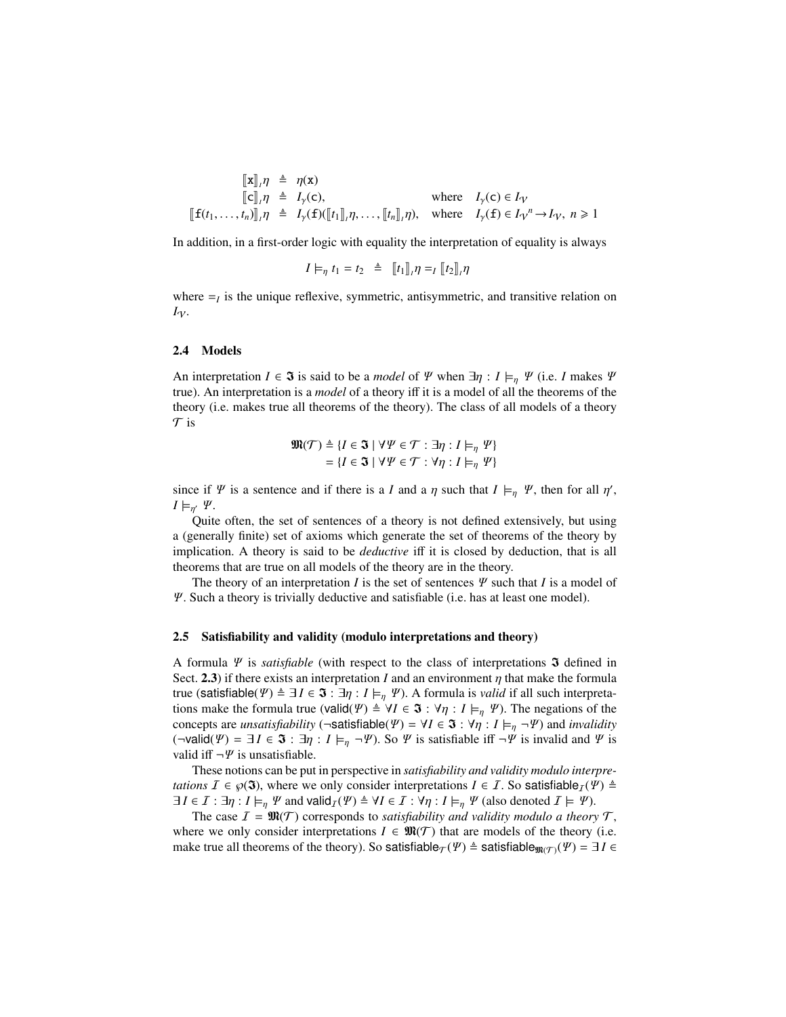$$
\begin{array}{rcl}\n[\![\mathbf{x}]\!]_I \eta & \triangleq & \eta(\mathbf{x}) \\
[\![\mathbf{C}]\!]_I \eta & \triangleq & I_{\gamma}(\mathbf{C}), \\
[\![\mathbf{f}(t_1, \ldots, t_n)]\!]_I \eta & \triangleq & I_{\gamma}(\mathbf{f})([\![t_1]\!]_I \eta, \ldots, [\![t_n]\!]_I \eta), \quad \text{where} \quad I_{\gamma}(\mathbf{f}) \in I_{\gamma'}^n \to I_{\gamma'}, \ n \geq 1\n\end{array}
$$

In addition, in a first-order logic with equality the interpretation of equality is always

$$
I \models_{\eta} t_1 = t_2 \triangleq [\![t_1]\!]_{\mathcal{I}} \eta =_I [\![t_2]\!]_{\mathcal{I}} \eta
$$

where  $=$ <sub>*I*</sub> is the unique reflexive, symmetric, antisymmetric, and transitive relation on  $I_{\mathcal{V}}$ .

### 2.4 Models

An interpretation  $I \in \mathfrak{I}$  is said to be a *model* of  $\Psi$  when  $\exists \eta : I \models_n \Psi$  (i.e. *I* makes  $\Psi$ true). An interpretation is a *model* of a theory iff it is a model of all the theorems of the theory (i.e. makes true all theorems of the theory). The class of all models of a theory  $\mathcal T$  is

$$
\mathfrak{M}(\mathcal{T}) \triangleq \{I \in \mathfrak{I} \mid \forall \Psi \in \mathcal{T} : \exists \eta : I \models_{\eta} \Psi\}
$$

$$
= \{I \in \mathfrak{I} \mid \forall \Psi \in \mathcal{T} : \forall \eta : I \models_{\eta} \Psi\}
$$

since if  $\Psi$  is a sentence and if there is a *I* and a  $\eta$  such that  $I \models_{\eta} \Psi$ , then for all  $\eta'$ ,  $I \models_{\eta} \Psi$  $I \models_{\eta'} \Psi$ .

Quite often, the set of sentences of a theory is not defined extensively, but using a (generally finite) set of axioms which generate the set of theorems of the theory by implication. A theory is said to be *deductive* iff it is closed by deduction, that is all theorems that are true on all models of the theory are in the theory.

The theory of an interpretation *I* is the set of sentences  $\Psi$  such that *I* is a model of Ψ. Such a theory is trivially deductive and satisfiable (i.e. has at least one model).

### <span id="page-3-0"></span>2.5 Satisfiability and validity (modulo interpretations and theory)

A formula  $\Psi$  is *satisfiable* (with respect to the class of interpretations **3** defined in Sect. [2.3](#page-2-2)) if there exists an interpretation *I* and an environment  $\eta$  that make the formula true (satisfiable( $\Psi$ )  $\triangleq \exists I \in \mathfrak{F} : \exists \eta : I \models_{\eta} \Psi$ ). A formula is *valid* if all such interpretations make the formula true (valid( $\Psi$ )  $\triangleq \forall I \in \mathfrak{F} : \forall \eta : I \models_{\eta} \Psi$ ). The negations of the concepts are *unsatisfiability* ( $\neg$ **satisfiable**( $\Psi$ ) =  $\Psi I \in \mathfrak{F}$ :  $\Psi \eta : I \models_{\eta} \neg \Psi$ ) and *invalidity* ( $\neg$ valid( $\Psi$ ) =  $\exists I \in \mathfrak{F}$  :  $\exists \eta : I \models_{\eta} \neg \Psi$ ). So  $\Psi$  is satisfiable iff  $\neg \Psi$  is invalid and  $\Psi$  is valid iff  $\neg \Psi$  is unsatisfiable.

These notions can be put in perspective in *satisfiability and validity modulo interpretations*  $I \in \mathcal{P}(\mathfrak{I})$ , where we only consider interpretations  $I \in I$ . So satisfiable<sub>I</sub>( $\Psi$ )  $\triangleq$  $\exists I \in \mathcal{I} : \exists \eta : I \models_{\eta} \Psi$  and  $\mathsf{valid}_{\mathcal{I}}(\Psi) \triangleq \forall I \in \mathcal{I} : \forall \eta : I \models_{\eta} \Psi$  (also denoted  $\mathcal{I} \models \Psi$ ).

The case  $I = \mathfrak{M}(\mathcal{T})$  corresponds to *satisfiability and validity modulo a theory*  $\mathcal{T}$ , where we only consider interpretations  $I \in \mathfrak{M}(\mathcal{T})$  that are models of the theory (i.e. make true all theorems of the theory). So satisfiable<sub>T</sub> ( $\Psi$ )  $\triangleq$  satisfiable<sub>M(T)</sub>( $\Psi$ ) =  $\exists I \in$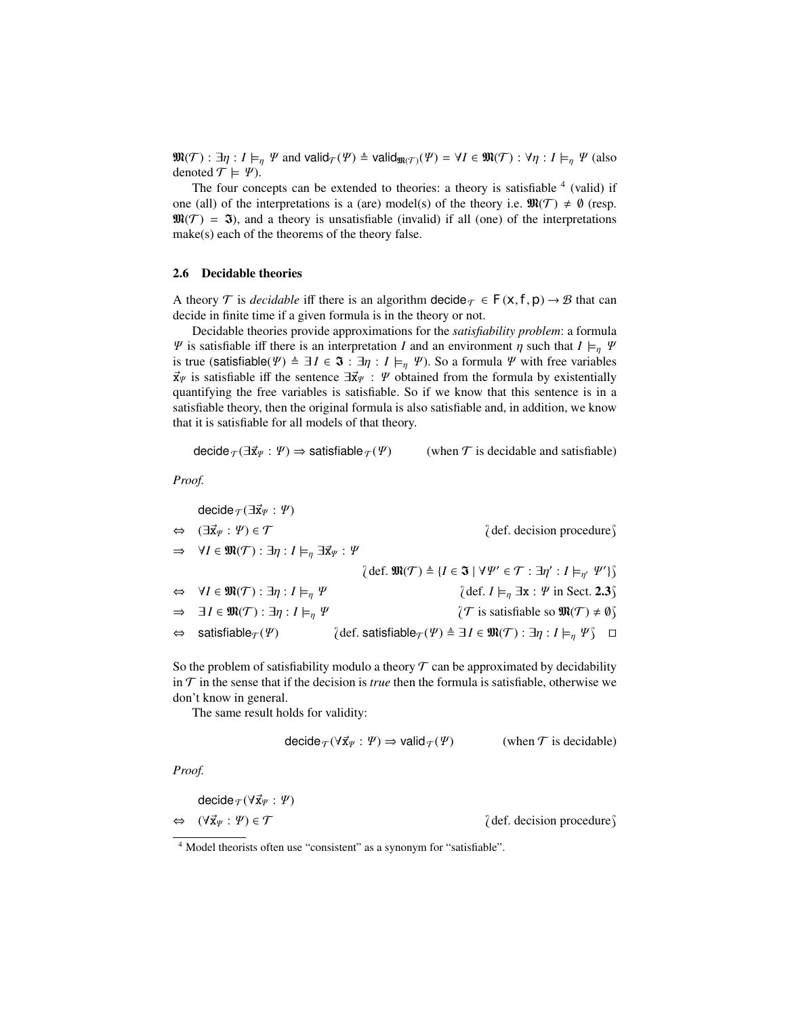$\mathfrak{M}(\mathcal{T})$  :  $\exists \eta : I \models_{\eta} \Psi$  and valid $_{\mathcal{T}}(\Psi) \triangleq$  valid $_{\mathfrak{M}(\mathcal{T})}(\Psi) = \forall I \in \mathfrak{M}(\mathcal{T})$  :  $\forall \eta : I \models_{\eta} \Psi$  (also denoted  $\mathcal{T} \models \Psi$ ).

The four concepts can be extended to theories: a theory is satisfiable  $4$  (valid) if one (all) of the interpretations is a (are) model(s) of the theory i.e.  $\mathfrak{M}(\mathcal{T}) \neq \emptyset$  (resp.  $\mathfrak{M}(\mathcal{T}) = \mathfrak{I}$ ), and a theory is unsatisfiable (invalid) if all (one) of the interpretations make(s) each of the theorems of the theory false.

### 2.6 Decidable theories

A theory  $\mathcal T$  is *decidable* iff there is an algorithm decide  $\tau \in F(x, f, p) \to \mathcal B$  that can decide in finite time if a given formula is in the theory or not.

Decidable theories provide approximations for the *satisfiability problem*: a formula *Ψ* is satisfiable iff there is an interpretation *I* and an environment *η* such that  $I \models_n \Psi$ is true (satisfiable( $\Psi$ )  $\triangleq \exists I \in \mathfrak{I} : \exists \eta : I \models_{\eta} \Psi$ ). So a formula  $\Psi$  with free variables  $\vec{x}_{\Psi}$  is satisfiable iff the sentence  $\exists \vec{x}_{\Psi}$ :  $\Psi$  obtained from the formula by existentially quantifying the free variables is satisfiable. So if we know that this sentence is in a satisfiable theory, then the original formula is also satisfiable and, in addition, we know that it is satisfiable for all models of that theory.

decide  $_T (\exists \vec{x} \psi : \Psi) \Rightarrow$  satisfiable  $_T (\Psi)$  (when T is decidable and satisfiable)

*Proof.*

decide  $\tau(\exists \vec{x} \psi : \Psi)$ <br>⇔  $(\exists \vec{x} \psi : \Psi) \in \mathcal{T}$  $\Leftrightarrow$   $(\exists \vec{x}_{\psi} : \Psi) \in \mathcal{T}$ <br>  $\Rightarrow \forall I \in \mathfrak{M}(\mathcal{T}) : \exists n : I \models_{\neg} \exists \vec{x}_{w} : \Psi$ <br>  $\Rightarrow \forall I \in \mathfrak{M}(\mathcal{T}) : \exists n : I \models_{\neg} \exists \vec{x}_{w} : \Psi$  $\forall I \in \mathfrak{M}(\mathcal{T}) : \exists \eta : I \models_\eta \exists \vec{x}_{\mathcal{Y}} : \mathcal{Y}$  $\det \mathbf{M}(\mathcal{T}) \triangleq \{I \in \mathbf{3} \mid \forall \Psi' \in \mathcal{T} : \exists \eta' : I \models_{\eta'} \Psi'\}$  $\Leftrightarrow$   $\forall I \in \mathfrak{M}(\mathcal{T}) : \exists \eta : I \models_{\eta} \Psi$   $\{\text{def. } I \models_{\eta} \exists x : \Psi \text{ in Sect. 2.3}\}\$  $\{\text{def. } I \models_{\eta} \exists x : \Psi \text{ in Sect. 2.3}\}\$  $\{\text{def. } I \models_{\eta} \exists x : \Psi \text{ in Sect. 2.3}\}\$ <br>  $\Rightarrow$   $\exists I \in \mathfrak{M}(\mathcal{T}) : \exists \eta : I \models_{\eta} \Psi$   $\{\mathcal{T} \text{ is satisfiable so } \mathfrak{M}(\mathcal{T}) \neq \emptyset\}$  $\Rightarrow$  ∃ *I* ∈  $\mathfrak{M}(\mathcal{T})$  :  $\exists \eta : I \models_{\eta} \mathcal{Y}$   $\{\mathcal{T} \text{ is satisfiable so } \mathfrak{M}(\mathcal{T}) \neq \emptyset\}$ <br>  $\Leftrightarrow$  satisfiable  $\tau(\mathcal{Y})$   $\{\text{def. satisfiable } \tau(\mathcal{Y}) \triangleq \exists I \in \mathfrak{M}(\mathcal{T}) : \exists \eta : I \models_{\eta} \mathcal{Y}\}\square$  $\det$ . satisfiable $\neg(\Psi) \triangleq \exists I \in \mathfrak{M}(\mathcal{T}) : \exists \eta : I \models_{\eta} \Psi$ 

So the problem of satisfiability modulo a theory  $\mathcal T$  can be approximated by decidability in  $\mathcal T$  in the sense that if the decision is *true* then the formula is satisfiable, otherwise we don't know in general.

The same result holds for validity:

$$
\text{decide}_{\mathcal{T}}(\forall \vec{x}_{\Psi} : \Psi) \Rightarrow \text{valid}_{\mathcal{T}}(\Psi) \qquad \text{(when } \mathcal{T} \text{ is decidable)}
$$

*Proof.*

decide  $\tau(\forall \vec{x}\psi : \Psi)$ <br>  $\Leftrightarrow (\forall \vec{x}\psi : \Psi) \in \mathcal{T}$  $\{\text{def. decision procedure}\}\$ 

<span id="page-4-0"></span><sup>4</sup> Model theorists often use "consistent" as a synonym for "satisfiable".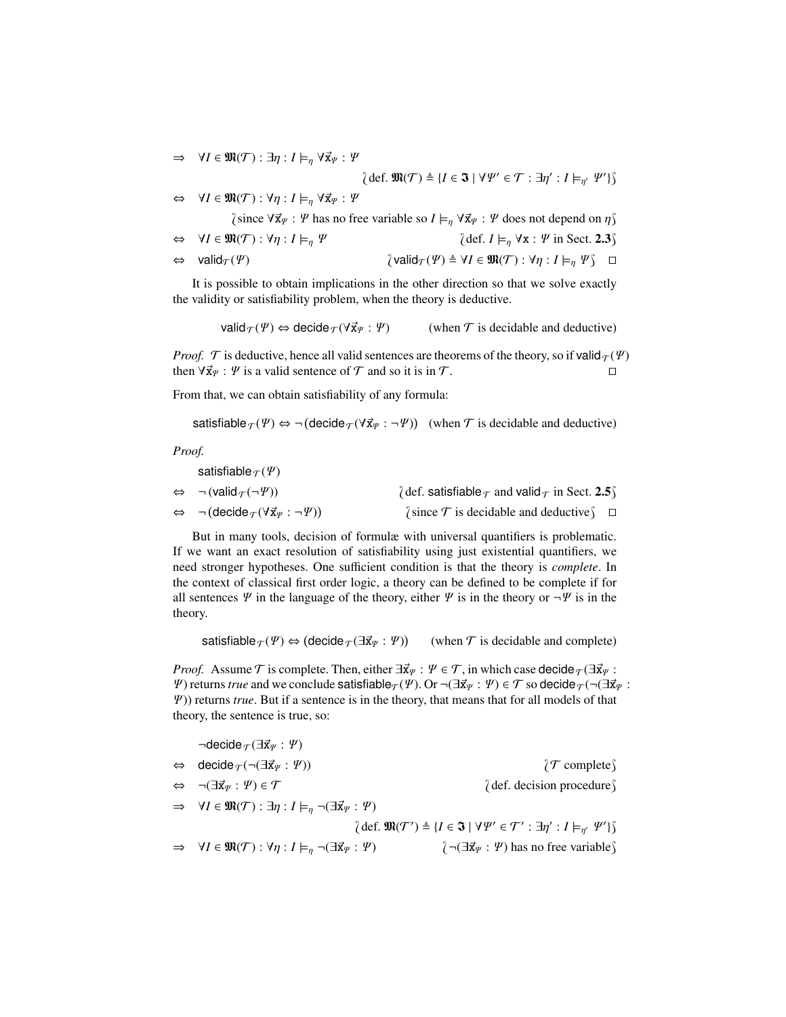$\Rightarrow \forall I \in \mathfrak{M}(\mathcal{T}) : \exists \eta : I \models_{\eta} \forall \vec{x}_{\Psi} : \Psi$ 

$$
\text{def. } \mathfrak{M}(\mathcal{T}) \triangleq \{ I \in \mathfrak{J} \mid \forall \mathit{Y'} \in \mathcal{T} : \exists \eta' : I \models_{\eta'} \mathit{Y'} \} \}
$$

 $\Leftrightarrow \forall I \in \mathfrak{M}(\mathcal{T}): \forall \eta : I \models_n \forall \vec{x}_{\Psi} : \Psi$ 

{since  $\forall \vec{x}_{\Psi} : \Psi$  has no free variable so  $I \models_{\eta} \forall \vec{x}_{\Psi} : \Psi$  does not depend on  $\eta$ }<br> $\forall I \in \mathfrak{M}(\mathcal{T}) : \forall \eta : I \models_{\eta} \Psi$  {def.  $I \models_{\eta} \forall x : \Psi$  in Sect. 2.3}

$$
\Leftrightarrow \forall I \in \mathfrak{M}(\mathcal{T}) : \forall \eta : I \models_{\eta} \mathcal{Y} \qquad \text{(def. } I \models_{\eta} \forall x : \mathcal{Y} \text{ in Sect. 2.3})
$$
  

$$
\Leftrightarrow \text{valid}_{\mathcal{T}}(\mathcal{Y}) \qquad \text{(valid}_{\mathcal{T}}(\mathcal{Y}) \triangleq \forall I \in \mathfrak{M}(\mathcal{T}) : \forall \eta : I \models_{\eta} \mathcal{Y} \cap \Box
$$

It is possible to obtain implications in the other direction so that we solve exactly the validity or satisfiability problem, when the theory is deductive.

valid $\tau(\Psi) \Leftrightarrow$  decide $\tau(\forall \vec{x}\Psi : \Psi)$  (when T is decidable and deductive)

*Proof.*  $\mathcal T$  is deductive, hence all valid sentences are theorems of the theory, so if valid  $_{\mathcal T}(V)$  then  $\forall \vec{x}_w \cdot \mathcal V$  is a valid sentence of  $\mathcal T$  and so it is in  $\mathcal T$ then  $\forall \vec{x} \psi : \Psi$  is a valid sentence of  $\mathcal T$  and so it is in  $\mathcal T$ .

From that, we can obtain satisfiability of any formula:

satisfiable  $_T(\Psi) \Leftrightarrow \neg(\text{decide}_{T}(\forall \vec{x}_{\Psi} : \neg \Psi))$  (when  $T$  is decidable and deductive)

*Proof.*

satisfiable  $_T(\Psi)$ 

| $\Leftrightarrow \neg (valid_{\mathcal{T}}(\neg \Psi))$                                 | $\int$ def. satisfiable $\tau$ and valid $\tau$ in Sect. 2.5        |
|-----------------------------------------------------------------------------------------|---------------------------------------------------------------------|
| $\Leftrightarrow \neg(\text{decide}_{\mathcal{T}}(\forall \vec{x}_{\psi} : \neg \psi))$ | $\{\text{since } \mathcal{T} \text{ is decidable and deductive}\}\$ |

But in many tools, decision of formulæ with universal quantifiers is problematic. If we want an exact resolution of satisfiability using just existential quantifiers, we need stronger hypotheses. One sufficient condition is that the theory is *complete*. In the context of classical first order logic, a theory can be defined to be complete if for all sentences  $\Psi$  in the language of the theory, either  $\Psi$  is in the theory or  $\neg \Psi$  is in the theory.

satisfiable $_{\mathcal{T}}(\varPsi) \Leftrightarrow (\mathsf{decide}_{\mathcal{T}}(\exists \vec{x}_{\varPsi} : \varPsi))$ (when  $\mathcal T$  is decidable and complete)

*Proof.* Assume  $\mathcal T$  is complete. Then, either  $\exists \vec{x}_{\psi}: \Psi \in \mathcal T$ , in which case decide  $\tau(\exists \vec{x}_{\psi})$ :  $\Psi$ ) returns *true* and we conclude satisfiable<sub>T</sub> (Ψ). Or  $\neg(\exists \vec{x}ψ : \Psi) \in T$  so decide<sub>T</sub> ( $\neg(\exists \vec{x}ψ : \Psi)$ ) Ψ)) returns *true*. But if a sentence is in the theory, that means that for all models of that theory, the sentence is true, so:

|                   | $\neg$ decide $\tau(\exists \vec{x} \psi : \Psi)$                                                                           |                                                                                                                                                    |
|-------------------|-----------------------------------------------------------------------------------------------------------------------------|----------------------------------------------------------------------------------------------------------------------------------------------------|
| $\Leftrightarrow$ | decide $\tau(\neg(\exists \vec{x} \psi : \varPsi))$                                                                         | $\mathcal{F}$ complete                                                                                                                             |
|                   | $\Leftrightarrow \neg (\exists \vec{x} \psi : \Psi) \in \mathcal{T}$                                                        | $\int$ def. decision procedure $\int$                                                                                                              |
|                   | $\Rightarrow \forall I \in \mathfrak{M}(\mathcal{T}) : \exists \eta : I \models_n \neg (\exists \vec{x}_{\psi} : \Psi)$     |                                                                                                                                                    |
|                   |                                                                                                                             | $\det \mathfrak{M}(\mathcal{T}') \triangleq \{I \in \mathfrak{I} \mid \forall \Psi' \in \mathcal{T}' : \exists \eta' : I \models_{\eta'} \Psi'\}\$ |
|                   | $\Rightarrow \forall I \in \mathfrak{M}(\mathcal{T}): \forall \eta : I \models_{\eta} \neg (\exists \vec{x}_{\psi} : \Psi)$ | $\int \neg (\exists \vec{x} \psi : \Psi)$ has no free variable $\int$                                                                              |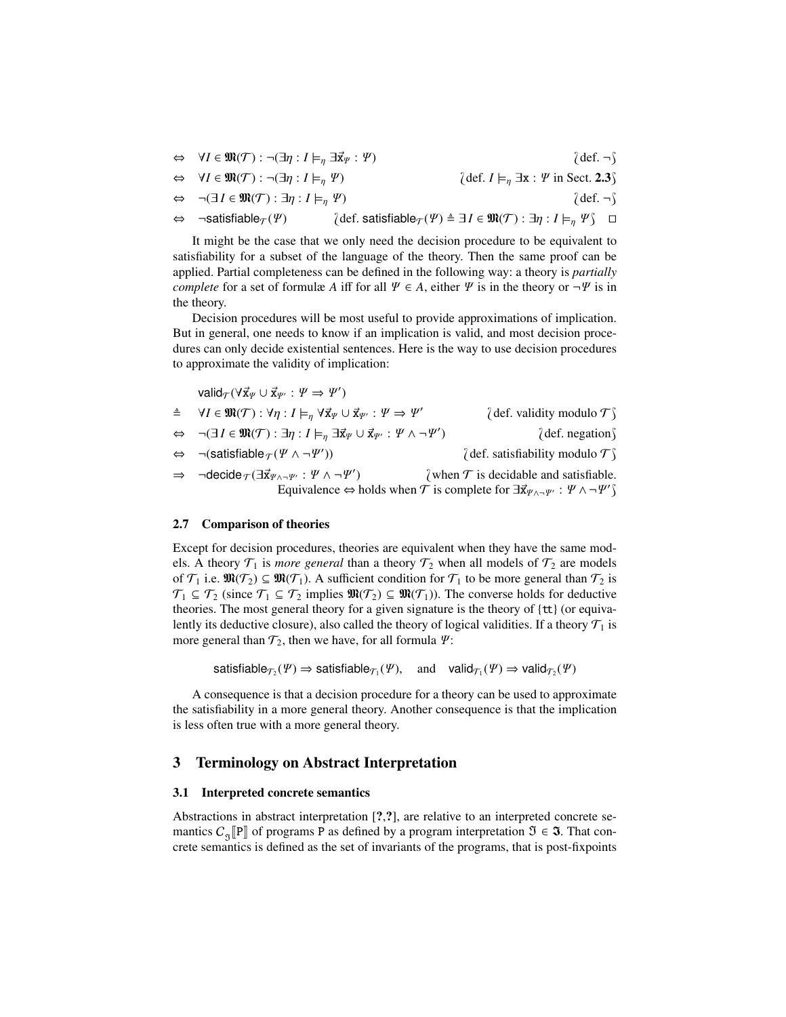| $\Leftrightarrow \forall I \in \mathfrak{M}(\mathcal{T}) : \neg(\exists \eta : I \models_{\eta} \exists \vec{x}_{\psi} : \psi)$ | $\det - \int$                                                                                                                  |
|---------------------------------------------------------------------------------------------------------------------------------|--------------------------------------------------------------------------------------------------------------------------------|
| $\Leftrightarrow \forall I \in \mathfrak{M}(\mathcal{T}) : \neg(\exists \eta : I \models_n \Psi)$                               | $\det I \models_n \exists x : \Psi$ in Sect. 2.3)                                                                              |
| $\Leftrightarrow \neg (\exists I \in \mathfrak{M}(\mathcal{T}) : \exists \eta : I \models_n \Psi)$                              | $\det. \neg \$                                                                                                                 |
| $\Leftrightarrow \neg$ satisfiable $\tau(\varPsi)$                                                                              | $\det$ satisfiable $\tau(\Psi) \triangleq \exists I \in \mathfrak{M}(\mathcal{T}) : \exists \eta : I \models_n \Psi \cap \Box$ |
|                                                                                                                                 |                                                                                                                                |

It might be the case that we only need the decision procedure to be equivalent to satisfiability for a subset of the language of the theory. Then the same proof can be applied. Partial completeness can be defined in the following way: a theory is *partially complete* for a set of formulæ *A* iff for all  $\Psi \in A$ , either  $\Psi$  is in the theory or  $\neg \Psi$  is in the theory.

Decision procedures will be most useful to provide approximations of implication. But in general, one needs to know if an implication is valid, and most decision procedures can only decide existential sentences. Here is the way to use decision procedures to approximate the validity of implication:

valid $_T(\forall \vec{x}_{\Psi} \cup \vec{x}_{\Psi'} : \Psi \Rightarrow \Psi')$  $\triangleq$   $\forall I \in \mathfrak{M}(\mathcal{T}) : \forall \eta : I \models_{\eta} \forall \vec{x}_{\psi} \cup \vec{x}_{\psi'} : \Psi \Rightarrow \Psi'$  $\partial$  def. validity modulo  $\mathcal{T}$  $\Leftrightarrow \neg (\exists I \in \mathfrak{M}(\mathcal{T}) : \exists \eta : I \models_{\eta} \exists \vec{x}_{\psi} \cup \vec{x}_{\psi'} : \Psi \wedge \neg \Psi'$  $\text{def. negation}\$  $\Leftrightarrow \neg$ (satisfiable  $\tau(\Psi \wedge \neg \Psi')$  $\partial$  def. satisfiability modulo  $\mathcal{T}$  $\Rightarrow$  ¬decide  $\tau(\exists \vec{x} \psi \wedge \neg \psi : \Psi \wedge \neg \Psi')$ <br>Fauivalence  $\leftrightarrow$  $\gamma$  when  $\tau$  is decidable and satisfiable. Equivalence  $\Leftrightarrow$  holds when  $\mathcal T$  is complete for  $\exists \vec{x}_{\psi \wedge \neg \psi'} : \Psi \wedge \neg \Psi'$  $\overline{\phantom{a}}$ 

### 2.7 Comparison of theories

Except for decision procedures, theories are equivalent when they have the same models. A theory  $\mathcal{T}_1$  is *more general* than a theory  $\mathcal{T}_2$  when all models of  $\mathcal{T}_2$  are models of  $\mathcal{T}_1$  i.e.  $\mathfrak{M}(\mathcal{T}_2) \subseteq \mathfrak{M}(\mathcal{T}_1)$ . A sufficient condition for  $\mathcal{T}_1$  to be more general than  $\mathcal{T}_2$  is  $\mathcal{T}_1 \subseteq \mathcal{T}_2$  (since  $\mathcal{T}_1 \subseteq \mathcal{T}_2$  implies  $\mathfrak{M}(\mathcal{T}_2) \subseteq \mathfrak{M}(\mathcal{T}_1)$ ). The converse holds for deductive theories. The most general theory for a given signature is the theory of  $\{tt\}$  (or equivalently its deductive closure), also called the theory of logical validities. If a theory  $\mathcal{T}_1$  is more general than  $\mathcal{T}_2$ , then we have, for all formula  $\Psi$ :

satisfiable  $\tau_2(\Psi) \Rightarrow$  satisfiable  $\tau_1(\Psi)$ , and valid  $\tau_1(\Psi) \Rightarrow$  valid  $\tau_2(\Psi)$ 

A consequence is that a decision procedure for a theory can be used to approximate the satisfiability in a more general theory. Another consequence is that the implication is less often true with a more general theory.

# 3 Terminology on Abstract Interpretation

### <span id="page-6-0"></span>3.1 Interpreted concrete semantics

Abstractions in abstract interpretation [?,?], are relative to an interpreted concrete semantics  $C_{\mathcal{S}}[\mathbb{P}]$  of programs P as defined by a program interpretation  $\mathcal{S} \in \mathcal{S}$ . That con-<br>crate sementies is defined as the set of inverients of the programs, that is not fixpoints crete semantics is defined as the set of invariants of the programs, that is post-fixpoints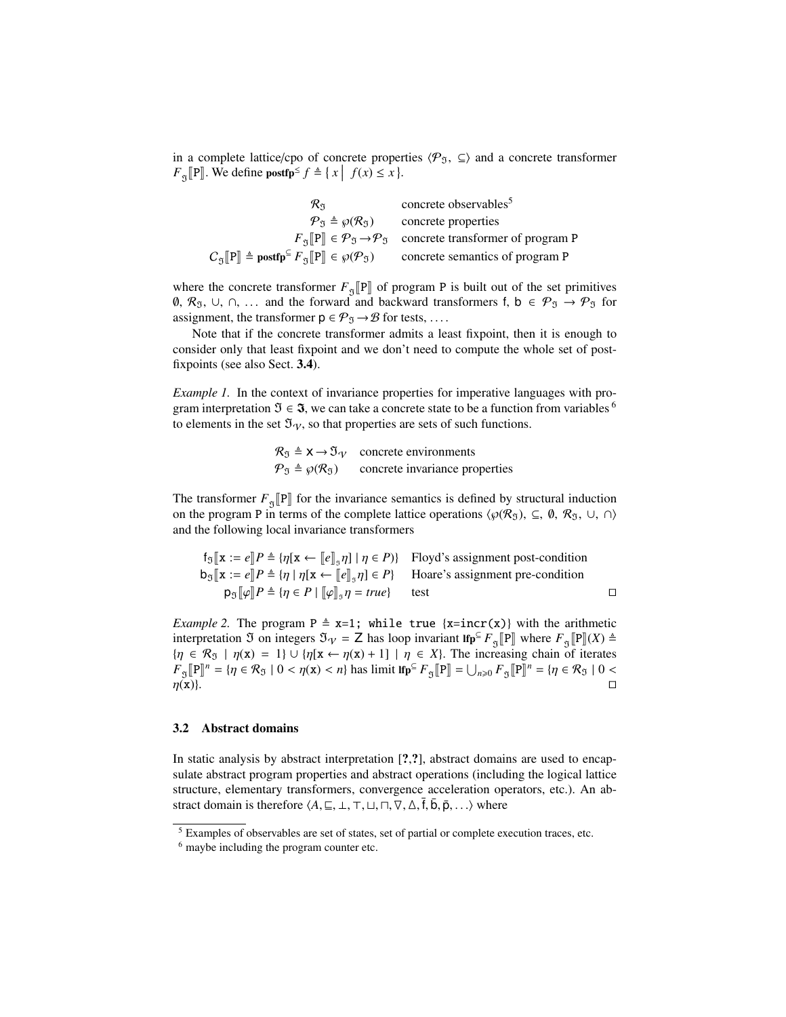in a complete lattice/cpo of concrete properties  $\langle \mathcal{P}_{\mathfrak{I}}, \subseteq \rangle$  and a concrete transformer  $F_{\mathfrak{S}}[\mathbb{P}].$  We define postfp<sup> $\leq f \triangleq \{x \mid f(x) \leq x\}.$ </sup>

 $\mathcal{R}_{5}$  $\mathcal{R}_{5}$  $\mathcal{R}_{5}$  concrete observables<sup>5</sup>  $\mathcal{P}_{\mathfrak{I}} \triangleq \varphi(\mathcal{R}_{\mathfrak{I}})$  concrete properties<br>  $F_{\mathfrak{I}}[\mathbb{P}] \in \mathcal{P}_{\mathfrak{I}} \to \mathcal{P}_{\mathfrak{I}}$  concrete transformer of program P  $C_{\mathfrak{I}}[\mathbb{P}]\triangleq\mathsf{postfp}^{\subseteq}F_{\mathfrak{I}}$ concrete semantics of program P

where the concrete transformer  $F_{\mathcal{F}}[\mathbb{P}]$  of program P is built out of the set primitives 0,  $\mathcal{R}_3$ , ∪, ∩, ... and the forward and backward transformers f, b ∈  $\mathcal{P}_3 \to \mathcal{P}_3$  for assignment, the transformer  $p \in \mathcal{P}_{\mathfrak{I}} \rightarrow \mathcal{B}$  for tests, ....

Note that if the concrete transformer admits a least fixpoint, then it is enough to consider only that least fixpoint and we don't need to compute the whole set of postfixpoints (see also Sect. [3.4](#page-8-0)).

*Example 1.* In the context of invariance properties for imperative languages with program interpretation  $\mathfrak{I} \in \mathfrak{I}$ , we can take a concrete state to be a function from variables <sup>[6](#page-7-1)</sup> to elements in the set  $\mathfrak{I}_{\gamma}$ , so that properties are sets of such functions.

> <span id="page-7-2"></span> $\mathcal{R}_{\mathfrak{I}} \triangleq \mathbf{x} \rightarrow \mathfrak{I}_{\mathcal{V}}$  concrete environments  $\mathcal{P}_{\mathfrak{N}} \triangleq \varphi(\mathcal{R}_{\mathfrak{N}})$  concrete invariance properties

The transformer  $F_{\mathcal{F}}[\mathbb{P}]$  for the invariance semantics is defined by structural induction<br>on the program B in terms of the complete lattice operations  $(a(\mathcal{P}_1), \mathcal{P}_1, \mathcal{P}_2, \mathcal{P}_3, \mathcal{P}_4, \mathcal{P}_5)$ on the program P in terms of the complete lattice operations  $\langle \varphi(R_3), \subseteq, \emptyset, R_3, \cup, \cap \rangle$ and the following local invariance transformers

$$
f_{\mathfrak{I}}[\![\mathbf{x} := e]\!] P \triangleq \{ \eta[\mathbf{x} \leftarrow [\![e]\!]_{{\mathfrak{I}}}, \eta] \mid \eta \in P \} \quad \text{Floyd's assignment post-condition} \n\mathbf{b}_{\mathfrak{I}}[\![\mathbf{x} := e]\!] P \triangleq \{ \eta \mid \eta[\mathbf{x} \leftarrow [\![e]\!]_{{\mathfrak{I}}}, \eta] \in P \} \quad \text{Hoare's assignment pre-condition} \n\mathbf{p}_{\mathfrak{I}}[\![\varphi]\!] P \triangleq \{ \eta \in P \mid [\![\varphi]\!]_{{\mathfrak{I}}}, \eta = true \} \quad \text{test} \quad \Box
$$

<span id="page-7-3"></span>*Example 2.* The program  $P \triangleq x=1$ ; while true  $\{x=incr(x)\}\$  with the arithmetic interpretation  $\Im$  on integers  $\Im \varphi = Z$  has loop invariant lfp<sup>⊆</sup>  $F_{\Im}$  [P] where  $F_{\Im}$  [P](*X*)  $\triangleq$ <br> $\Im \varphi = \Re z + \pi(z) = 1$  +  $\Im \varphi = \pi(z) + 1$  +  $\Im \varphi = X^T$ . The increasing chain of iterates  ${\eta \in \mathcal{R}_{\mathfrak{I}} \mid \eta(x) = 1} \cup {\eta[x \leftarrow \eta(x) + 1] \mid \eta \in X}$ . The increasing chain of iterates  $F_{\mathcal{F}}[\mathbb{P}]^n = {\eta \in \mathcal{R}_{\mathcal{F}} \mid 0 < \eta(\mathbf{x}) < n}$  has limit  $\mathbf{Ifp}^{\subseteq} F_{\mathcal{F}}[\mathbb{P}] = \bigcup_{n \geq 0} F_{\mathcal{F}}[\mathbb{P}]^n = {\eta \in \mathcal{R}_{\mathcal{F}} \mid 0 < \eta(\mathbf{x})}$  $\eta(x)$ }.

## <span id="page-7-4"></span>3.2 Abstract domains

In static analysis by abstract interpretation [?,?], abstract domains are used to encapsulate abstract program properties and abstract operations (including the logical lattice structure, elementary transformers, convergence acceleration operators, etc.). An abstract domain is therefore  $\langle A, \sqsubseteq, \bot, \top, \sqcup, \sqcap, \nabla, \triangle, \overline{f}, \overline{b}, \overline{p}, \ldots \rangle$  where

<span id="page-7-0"></span><sup>5</sup> Examples of observables are set of states, set of partial or complete execution traces, etc.

<span id="page-7-1"></span><sup>&</sup>lt;sup>6</sup> maybe including the program counter etc.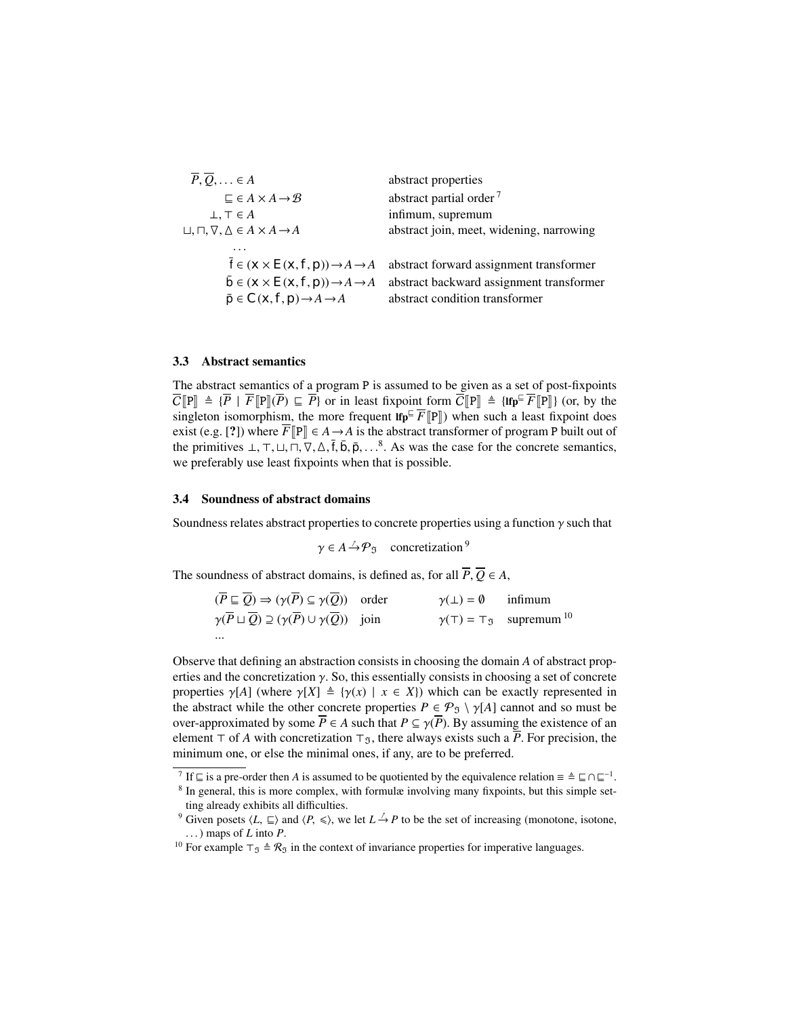| $P, Q, \ldots \in A$                                                 | abstract properties                      |
|----------------------------------------------------------------------|------------------------------------------|
| $\sqsubset \in A \times A \rightarrow \mathcal{B}$                   | abstract partial order <sup>7</sup>      |
| $\bot, \top \in A$                                                   | infimum, supremum                        |
| $\sqcup, \sqcap, \nabla, \triangle \in A \times A \rightarrow A$     | abstract join, meet, widening, narrowing |
|                                                                      |                                          |
| $\overline{f} \in (x \times E(x, f, p)) \rightarrow A \rightarrow A$ | abstract forward assignment transformer  |
| $\bar{b} \in (x \times E(x, f, p)) \rightarrow A \rightarrow A$      | abstract backward assignment transformer |
| $\bar{p} \in C(x, f, p) \rightarrow A \rightarrow A$                 | abstract condition transformer           |
|                                                                      |                                          |

### 3.3 Abstract semantics

The abstract semantics of a program P is assumed to be given as a set of post-fixpoints  $\overline{C}[\mathbb{P}] \triangleq {\overline{P} \mid \overline{F}[\mathbb{P}](\overline{P}) \subseteq \overline{P}}$  or in least fixpoint form  $\overline{C}[\mathbb{P}] \triangleq {\{\text{Ifp}^{\sqsubseteq \overline{F}[[\mathbb{P}]]\}}$  (or, by the singleton isomorphism, the more frequent lfp<sup> $\bar{F}$ </sup> $\bar{F}$  $\bar{F}$ ) when such a least fixpoint does exist (e.g. [?]) where  $\overline{F}$   $\llbracket P \rrbracket \in A \rightarrow A$  is the abstract transformer of program P built out of the primitives  $\perp$ ,  $\top$ ,  $\sqcup$ ,  $\overline{\sqcap}$ ,  $\overline{\vee}$ ,  $\Delta$ ,  $\overline{f}$ ,  $\overline{b}$ ,  $\overline{b}$ ,  $\ldots$ <sup>[8](#page-8-2)</sup>. As was the case for the concrete semantics, we preferably use least fixpoints when that is possible we preferably use least fixpoints when that is possible.

### <span id="page-8-0"></span>3.4 Soundness of abstract domains

Soundness relates abstract properties to concrete properties using a function  $\gamma$  such that

 $\gamma \in A \stackrel{\gamma}{\rightarrow} \mathcal{P}_{\mathfrak{I}}$  concretization <sup>[9](#page-8-3)</sup>

The soundness of abstract domains, is defined as, for all  $\overline{P}$ ,  $\overline{Q} \in A$ ,

| $(P \sqsubseteq Q) \Rightarrow (\gamma(P) \subseteq \gamma(Q))$ order                                      | $\gamma(\perp) = \emptyset$ infimum |                                                             |
|------------------------------------------------------------------------------------------------------------|-------------------------------------|-------------------------------------------------------------|
| $\gamma(\overline{P} \sqcup \overline{Q}) \supseteq (\gamma(\overline{P}) \cup \gamma(\overline{Q}))$ join |                                     | $\gamma(\tau) = \tau_{\mathfrak{I}}$ supremum <sup>10</sup> |
| $\cdots$                                                                                                   |                                     |                                                             |

Observe that defining an abstraction consists in choosing the domain *A* of abstract properties and the concretization  $\gamma$ . So, this essentially consists in choosing a set of concrete properties  $\gamma[A]$  (where  $\gamma[X] \triangleq {\gamma(x) \mid x \in X}$ ) which can be exactly represented in the abstract while the other concrete properties  $P \in \mathcal{P}_{\mathfrak{I}} \setminus \gamma[A]$  cannot and so must be over-approximated by some  $\overline{P} \in A$  such that  $P \subseteq \gamma(\overline{P})$ . By assuming the existence of an element  $\top$  of *A* with concretization  $\top$ <sub>3</sub>, there always exists such a  $\overline{P}$ . For precision, the minimum one, or else the minimal ones, if any, are to be preferred.

<span id="page-8-1"></span><sup>&</sup>lt;sup>7</sup> If  $\subseteq$  is a pre-order then *A* is assumed to be quotiented by the equivalence relation  $\equiv \triangleq \sqsubseteq \cap \sqsubseteq^{-1}$ .

<span id="page-8-2"></span><sup>&</sup>lt;sup>8</sup> In general, this is more complex, with formulæ involving many fixpoints, but this simple setting already exhibits all difficulties.

<span id="page-8-3"></span><sup>&</sup>lt;sup>9</sup> Given posets  $\langle L, \subseteq \rangle$  and  $\langle P, \leq \rangle$ , we let  $L \stackrel{\sim}{\to} P$  to be the set of increasing (monotone, isotone, ) maps of *L* into *P* . . . ) maps of *L* into *P*.

<span id="page-8-4"></span><sup>&</sup>lt;sup>10</sup> For example  $\top$ <sub>3</sub>  $\triangleq$  R<sub>3</sub> in the context of invariance properties for imperative languages.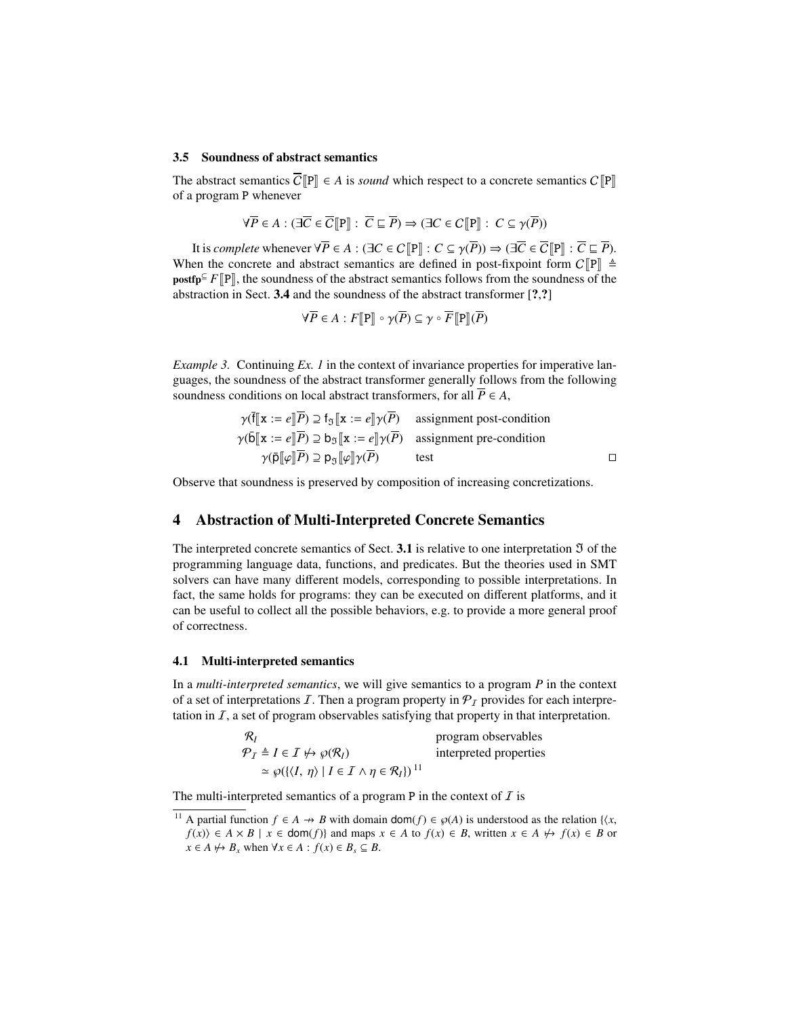### <span id="page-9-1"></span>3.5 Soundness of abstract semantics

The abstract semantics  $\overline{C}[\mathbb{P}] \in A$  is *sound* which respect to a concrete semantics  $C[\mathbb{P}]$ of a program P whenever

$$
\forall \overline{P} \in A : (\exists \overline{C} \in \overline{C}[\mathbb{P}]] : \overline{C} \sqsubseteq \overline{P}) \Rightarrow (\exists C \in C[\mathbb{P}]] : C \subseteq \gamma(\overline{P}))
$$

It is *complete* whenever  $\forall \overline{P} \in A : (\exists C \in C \mathbb{P} \mathbb{P} : C \subseteq \gamma(\overline{P})) \Rightarrow (\exists \overline{C} \in \overline{C} \mathbb{P} \mathbb{P} : \overline{C} \subseteq \overline{P})$ . When the concrete and abstract semantics are defined in post-fixpoint form  $C\llbracket P \rrbracket \triangleq$ postfp<sup>⊆</sup>  $F[\nVert P]$ , the soundness of the abstract semantics follows from the soundness of the abstraction in Sect. [3.4](#page-8-0) and the soundness of the abstract transformer [?,?]

$$
\forall \overline{P} \in A : F[\hspace{-0.04cm}[ P ] \hspace{-0.04cm}] \circ \gamma(\overline{P}) \subseteq \gamma \circ \overline{F}[\hspace{-0.04cm}[ P ] \hspace{-0.04cm}] (\overline{P})
$$

*Example 3.* Continuing *Ex. [1](#page-7-2)* in the context of invariance properties for imperative languages, the soundness of the abstract transformer generally follows from the following soundness conditions on local abstract transformers, for all  $\overline{P} \in A$ ,

$$
\gamma(\overline{f}[[\mathbf{x} := e]]\overline{P}) \supseteq f_{\mathfrak{I}}[[\mathbf{x} := e]]\gamma(\overline{P})
$$
 assignment post-condition  
\n
$$
\gamma(\overline{b}[[\mathbf{x} := e]]\overline{P}) \supseteq b_{\mathfrak{I}}[[\mathbf{x} := e]]\gamma(\overline{P})
$$
 assignment pre-condition  
\n
$$
\gamma(\overline{p}[[\varphi]]\overline{P}) \supseteq p_{\mathfrak{I}}[[\varphi]]\gamma(\overline{P})
$$
 test

Observe that soundness is preserved by composition of increasing concretizations.

## 4 Abstraction of Multi-Interpreted Concrete Semantics

The interpreted concrete semantics of Sect. [3.1](#page-6-0) is relative to one interpretation  $\mathfrak I$  of the programming language data, functions, and predicates. But the theories used in SMT solvers can have many different models, corresponding to possible interpretations. In fact, the same holds for programs: they can be executed on different platforms, and it can be useful to collect all the possible behaviors, e.g. to provide a more general proof of correctness.

## <span id="page-9-2"></span>4.1 Multi-interpreted semantics

In a *multi-interpreted semantics*, we will give semantics to a program *P* in the context of a set of interpretations  $I$ . Then a program property in  $\mathcal{P}_I$  provides for each interpretation in  $I$ , a set of program observables satisfying that property in that interpretation.

| $\mathcal{R}_I$                                                                           | program observables    |
|-------------------------------------------------------------------------------------------|------------------------|
| $\mathcal{P}_T \triangleq I \in \mathcal{I} \not\mapsto \mathcal{P}(\mathcal{R}_I)$       | interpreted properties |
| $\approx \varphi({\langle I, \eta \rangle   I \in I \land \eta \in \mathcal{R}_I)})^{11}$ |                        |

The multi-interpreted semantics of a program  $P$  in the context of  $I$  is

<span id="page-9-0"></span><sup>&</sup>lt;sup>11</sup> A partial function  $f \in A \rightarrow B$  with domain  $\text{dom}(f) \in \wp(A)$  is understood as the relation  $\{\langle x, \rangle\}$ *f*(*x*)</sub>) ∈ *A* × *B* | *x* ∈ dom(*f*)} and maps *x* ∈ *A* to *f*(*x*) ∈ *B*, written *x* ∈ *A*  $\leftrightarrow$  *f*(*x*) ∈ *B* or  $x \in A \nleftrightarrow B_x$  when  $\forall x \in A : f(x) \in B_s \subseteq B$ .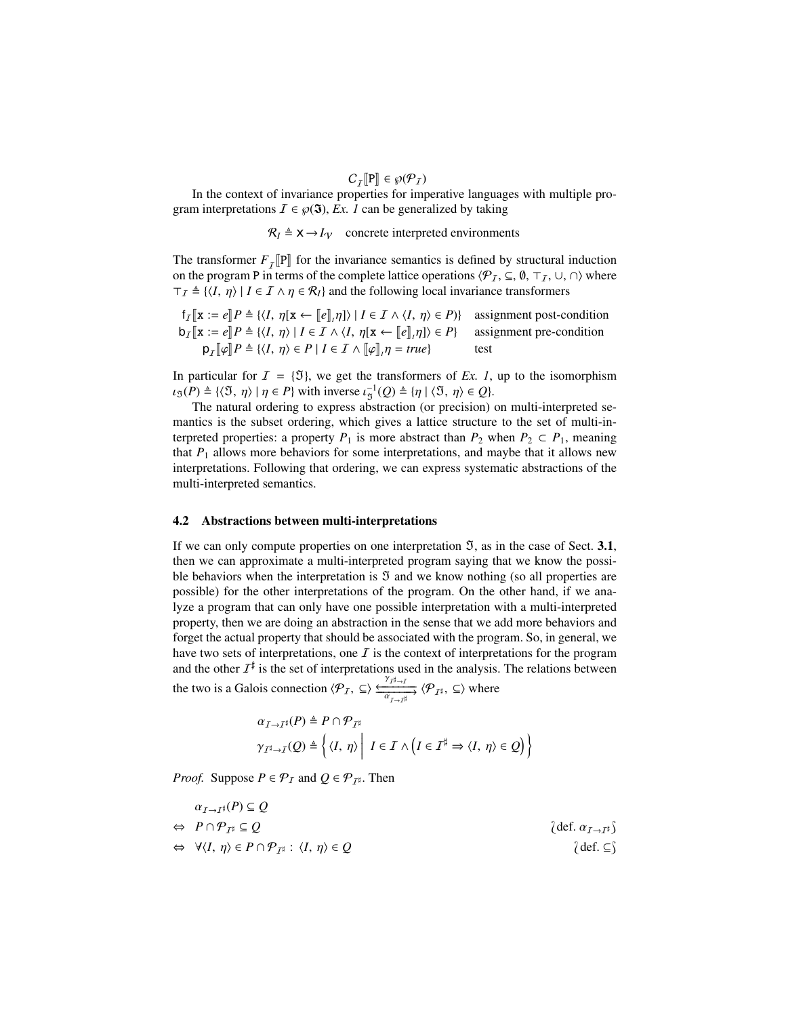# $C_{\mathcal{I}}[\![P]\!] \in \wp(\mathcal{P}_{\mathcal{I}})$ <br>operties for imp

In the context of invariance properties for imperative languages with multiple program interpretations  $\mathcal{I} \in \wp(\mathfrak{I})$ , *Ex. [1](#page-7-2)* can be generalized by taking

 $\mathcal{R}_I \triangleq \mathbf{x} \rightarrow I_V$  concrete interpreted environments

The transformer  $F_T[\mathbb{P}]$  for the invariance semantics is defined by structural induction<br>on the program B in terms of the complete lattice operations ( $\mathcal{P}_C \subset \mathcal{P}_C$ ,  $\top$ ,  $\bot$ ) (c) where on the program P in terms of the complete lattice operations  $\langle P_I, \subseteq, \emptyset, \top_I, \cup, \cap \rangle$  where  $\top_I \triangleq \{ \langle I, \eta \rangle \mid I \in I \land \eta \in \mathcal{R}_I \}$  and the following local invariance transformers

 $f_{\mathcal{I}}[\![\mathbf{x}]:=e]\!] P \triangleq \{ \langle I, \eta[\mathbf{x} \leftarrow [\![e]\!], \eta] \rangle \mid I \in \mathcal{I} \land \langle I, \eta \rangle \in P \} \}$  assignment post-condition  $b_I$  $\mathbf{x} := e \Vert P \triangleq \{ \langle I, \eta \rangle \mid I \in \mathcal{I} \land \langle I, \eta[\mathbf{x} \leftarrow \Vert e \Vert, \eta] \rangle \in P \}$ assignment pre-condition<br>test  $p_I[\![\varphi]\!] P \triangleq \{ \langle I, \eta \rangle \in P \mid I \in I \land [\![\varphi]\!] \} \eta = true \}$  test

In particular for  $I = \{3\}$ , we get the transformers of *Ex. [1](#page-7-2)*, up to the isomorphism  $\iota_{\mathfrak{A}}(P) \triangleq \{ \langle \mathfrak{A}, \eta \rangle \mid \eta \in P \}$  with inverse  $\iota_{\mathfrak{A}}^{-1}(Q) \triangleq \{ \eta \mid \langle \mathfrak{A}, \eta \rangle \in Q \}.$ <br>The natural ordering to express abstraction (or precision).

The natural ordering to express abstraction (or precision) on multi-interpreted semantics is the subset ordering, which gives a lattice structure to the set of multi-interpreted properties: a property  $P_1$  is more abstract than  $P_2$  when  $P_2 \subset P_1$ , meaning that  $P_1$  allows more behaviors for some interpretations, and maybe that it allows new interpretations. Following that ordering, we can express systematic abstractions of the multi-interpreted semantics.

### <span id="page-10-0"></span>4.2 Abstractions between multi-interpretations

If we can only compute properties on one interpretation  $\mathfrak{I}$ , as in the case of Sect. [3.1](#page-6-0), then we can approximate a multi-interpreted program saying that we know the possible behaviors when the interpretation is  $\mathfrak I$  and we know nothing (so all properties are possible) for the other interpretations of the program. On the other hand, if we analyze a program that can only have one possible interpretation with a multi-interpreted property, then we are doing an abstraction in the sense that we add more behaviors and forget the actual property that should be associated with the program. So, in general, we have two sets of interpretations, one  $I$  is the context of interpretations for the program and the other  $I^{\sharp}$  is the set of interpretations used in the analysis. The relations between the two is a Galois connection  $\langle \mathcal{P}_I, \subseteq \rangle \frac{\langle I^{\eta} \to I \rangle}{\alpha_{I \to I^{\sharp}}}$  $\frac{p_{T^{\sharp}\to T}}{p_{T^{\sharp}}}\langle \mathcal{P}_{T^{\sharp}},\subseteq\rangle$  where

$$
\alpha_{I \to I^{\sharp}}(P) \triangleq P \cap \mathcal{P}_{I^{\sharp}}
$$
\n
$$
\gamma_{I^{\sharp} \to I}(Q) \triangleq \left\{ \langle I, \eta \rangle \middle| I \in I \land \left( I \in I^{\sharp} \Rightarrow \langle I, \eta \rangle \in Q \right) \right\}
$$

*Proof.* Suppose  $P \in \mathcal{P}_I$  and  $Q \in \mathcal{P}_{I^{\sharp}}$ . Then

$$
\alpha_{T \to T^{\sharp}}(P) \subseteq Q
$$
  
\n
$$
\Leftrightarrow P \cap \mathcal{P}_{T^{\sharp}} \subseteq Q
$$
  
\n
$$
\Leftrightarrow \forall \langle I, \eta \rangle \in P \cap \mathcal{P}_{T^{\sharp}} : \langle I, \eta \rangle \in Q
$$
  
\n
$$
\{\text{def. } \subseteq \S
$$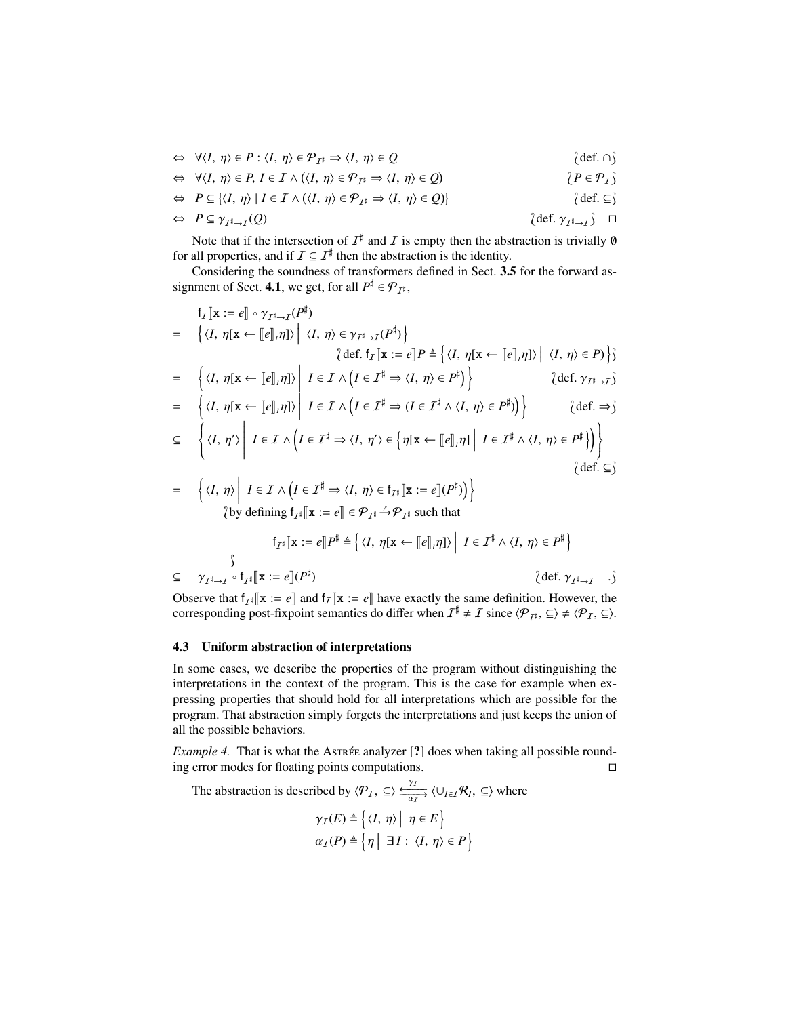| $\Leftrightarrow \forall \langle I, \eta \rangle \in P : \langle I, \eta \rangle \in \mathcal{P}_{I^{\sharp}} \Rightarrow \langle I, \eta \rangle \in Q$                                                                                                                                                                                                                                                           | $\det. \cap \$ |
|--------------------------------------------------------------------------------------------------------------------------------------------------------------------------------------------------------------------------------------------------------------------------------------------------------------------------------------------------------------------------------------------------------------------|----------------|
| $\mathcal{L} \cup \mathcal{L}$ $\mathcal{L} \cup \mathcal{L}$ $\mathcal{L} \cup \mathcal{L}$ $\mathcal{L} \cup \mathcal{L}$ $\mathcal{L} \cup \mathcal{L}$ $\mathcal{L} \cup \mathcal{L}$ $\mathcal{L} \cup \mathcal{L}$ $\mathcal{L} \cup \mathcal{L}$ $\mathcal{L} \cup \mathcal{L}$ $\mathcal{L} \cup \mathcal{L}$ $\mathcal{L} \cup \mathcal{L}$ $\mathcal{L} \cup \mathcal{L}$ $\mathcal{L} \cup \mathcal{L}$ | $9 - 7 - 9$    |

$$
\Leftrightarrow \forall \langle I, \eta \rangle \in P, I \in I \land (\langle I, \eta \rangle \in \mathcal{P}_{I^{\sharp}} \Rightarrow \langle I, \eta \rangle \in Q) \qquad \qquad \qquad \{P \in \mathcal{P}_{I}\}
$$
\n
$$
\Leftrightarrow P \subset \{I, \eta \setminus I \in I \land (\langle I, \eta \rangle \in \mathcal{P}_{I^{\sharp}} \Rightarrow \langle I, \eta \rangle \in Q)\} \qquad \qquad \{P \in \mathcal{P}_{I}\}
$$

$$
\Leftrightarrow P \subseteq \{(I, \eta) \mid I \in I \land (\langle I, \eta \rangle \in \mathcal{P}_{I^{\sharp}} \Rightarrow \langle I, \eta \rangle \in Q)\} \qquad \text{(def. } \subseteq \text{)}
$$
\n
$$
\Leftrightarrow P \subseteq \gamma_{I^{\sharp} \to I}(Q) \qquad \text{(def. } \gamma_{I^{\sharp} \to I}) \quad \Box
$$

Note that if the intersection of  $\mathcal{I}^{\sharp}$  and  $\mathcal{I}$  is empty then the abstraction is trivially  $\emptyset$ for all properties, and if  $\mathcal{I} \subseteq \mathcal{I}^{\sharp}$  then the abstraction is the identity.

Considering the soundness of transformers defined in Sect. [3.5](#page-9-1) for the forward as-signment of Sect. [4.1](#page-9-2), we get, for all  $P^{\sharp} \in \mathcal{P}_{\mathcal{I}^{\sharp}}$ ,

$$
f_{\mathcal{I}}[\![\mathbf{x} := e]\!] \circ \gamma_{\mathcal{I}^{\sharp} \to \mathcal{I}}(P^{\sharp})
$$
\n
$$
= \left\{ \langle I, \eta[\mathbf{x} \leftarrow [\![e]\!], \eta] \rangle \middle| \langle I, \eta \rangle \in \gamma_{\mathcal{I}^{\sharp} \to \mathcal{I}}(P^{\sharp}) \right\}
$$
\n
$$
\left\{ \det f_{\mathcal{I}}[\![\mathbf{x} := e]\!] P \triangleq \left\{ \langle I, \eta[\mathbf{x} \leftarrow [\![e]\!], \eta] \rangle \middle| \langle I, \eta \rangle \in P \rangle \right\} \right\}
$$
\n
$$
= \left\{ \langle I, \eta[\mathbf{x} \leftarrow [\![e]\!], \eta] \rangle \middle| I \in \mathcal{I} \land \left(I \in \mathcal{I}^{\sharp} \Rightarrow \langle I, \eta \rangle \in P^{\sharp} \right) \right\} \right\} \qquad \text{(def. } \gamma_{\mathcal{I}^{\sharp} \to \mathcal{I}} \text{)}
$$

$$
= \left\{ \langle I, \eta[\mathbf{x} \leftarrow [\![e]\!]_{\eta}]\rangle \middle| I \in \mathcal{I} \wedge \left(I \in \mathcal{I}^{\sharp} \Rightarrow (I \in \mathcal{I}^{\sharp} \wedge \langle I, \eta \rangle \in P^{\sharp})\right) \right\} \qquad \text{(def.} \Rightarrow \text{)}
$$

$$
\subseteq \left\{ \langle I, \eta' \rangle \middle| I \in I \wedge \left( I \in I^{\sharp} \Rightarrow \langle I, \eta' \rangle \in \left\{ \eta[x \leftarrow [[e]], \eta] \middle| I \in I^{\sharp} \wedge \langle I, \eta \rangle \in P^{\sharp} \right\} \right) \right\}
$$
\n
$$
\left\{ \det \subseteq \mathcal{S} \right\}
$$

$$
= \left\{ \langle I, \eta \rangle \middle| I \in \mathcal{I} \land \left( I \in \mathcal{I}^{\sharp} \Rightarrow \langle I, \eta \rangle \in \mathfrak{f}_{\mathcal{I}^{\sharp}}[\![\mathbf{x} := e]\!](P^{\sharp}) \right) \right\}
$$
  
\n
$$
\text{by defining } \mathfrak{f}_{\mathcal{I}^{\sharp}}[\![\mathbf{x} := e]\!] \in \mathcal{P}_{\mathcal{I}^{\sharp}} \stackrel{\sim}{\rightarrow} \mathcal{P}_{\mathcal{I}^{\sharp}} \text{ such that}
$$

$$
\mathsf{f}_{I^{\sharp}}[\![\mathbf{x} := e]\!] P^{\sharp} \triangleq \left\{ \langle I, \eta[\mathbf{x} \leftarrow [\![e]\!]_{I} \eta] \rangle \middle| I \in I^{\sharp} \wedge \langle I, \eta \rangle \in P^{\sharp} \right\}
$$
\n
$$
\subseteq \gamma_{I^{\sharp} \to I} \circ \mathsf{f}_{I^{\sharp}}[\![\mathbf{x} := e]\!] (P^{\sharp}) \qquad \text{(def. } \gamma_{I^{\sharp} \to I} \cdot \text{)}
$$

Observe that  $f_{T^*}[\![\mathbf{x} := e]\!]$  and  $f_T[\![\mathbf{x} := e]\!]$  have exactly the same definition. However, the corresponding post fixing temperature do differ when  $T^{\sharp} + T$  since  $\langle \mathcal{P}_{T^*}(\mathbf{x}) - \mathcal{P}_{T^*}(\mathbf{x}) \rangle$ corresponding post-fixpoint semantics do differ when  $I^{\sharp} \neq I$  since  $\langle \mathcal{P}_{I^{\sharp}}, \subseteq \rangle \neq \langle \mathcal{P}_{I}, \subseteq \rangle$ .

### 4.3 Uniform abstraction of interpretations

In some cases, we describe the properties of the program without distinguishing the interpretations in the context of the program. This is the case for example when expressing properties that should hold for all interpretations which are possible for the program. That abstraction simply forgets the interpretations and just keeps the union of all the possible behaviors.

*Example 4.* That is what the Astrackee analyzer [?] does when taking all possible rounding error modes for floating points computations.  $\Box$ 

The abstraction is described by  $\langle \mathcal{P}_I, \subseteq \rangle \frac{H}{\alpha_I}$  $\frac{\gamma_I}{\alpha_I}$   $\langle \cup_{I \in I} \mathcal{R}_I, \subseteq \rangle$  where

$$
\gamma_I(E) \triangleq \left\{ \langle I, \eta \rangle \middle| \eta \in E \right\}
$$
  

$$
\alpha_I(P) \triangleq \left\{ \eta \middle| \exists I : \langle I, \eta \rangle \in P \right\}
$$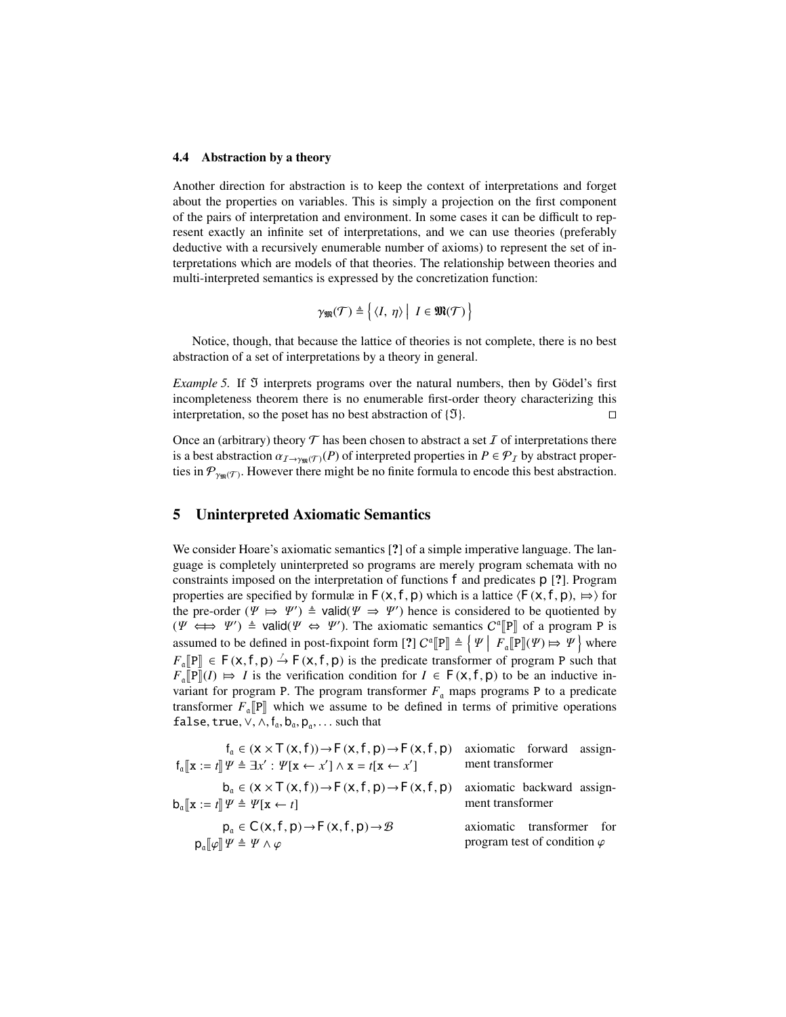### <span id="page-12-1"></span>4.4 Abstraction by a theory

Another direction for abstraction is to keep the context of interpretations and forget about the properties on variables. This is simply a projection on the first component of the pairs of interpretation and environment. In some cases it can be difficult to represent exactly an infinite set of interpretations, and we can use theories (preferably deductive with a recursively enumerable number of axioms) to represent the set of interpretations which are models of that theories. The relationship between theories and multi-interpreted semantics is expressed by the concretization function:

$$
\gamma_{\mathfrak{M}}(\mathcal{T}) \triangleq \Big\{ \langle I, \eta \rangle \Big| I \in \mathfrak{M}(\mathcal{T}) \Big\}
$$

Notice, though, that because the lattice of theories is not complete, there is no best abstraction of a set of interpretations by a theory in general.

*Example 5.* If  $\Im$  interprets programs over the natural numbers, then by Gödel's first incompleteness theorem there is no enumerable first-order theory characterizing this interpretation, so the poset has no best abstraction of  $\{\mathfrak{I}\}.$ 

Once an (arbitrary) theory  $\mathcal T$  has been chosen to abstract a set  $\mathcal I$  of interpretations there is a best abstraction  $\alpha_{I\to\gamma_{\mathfrak{M}}(\mathcal{T})}(P)$  of interpreted properties in  $P \in \mathcal{P}_I$  by abstract properties in  $\mathcal{P}_{\gamma_{\mathfrak{M}}(\mathcal{T})}$ . However there might be no finite formula to encode this best abstraction.

## <span id="page-12-0"></span>5 Uninterpreted Axiomatic Semantics

We consider Hoare's axiomatic semantics [?] of a simple imperative language. The language is completely uninterpreted so programs are merely program schemata with no constraints imposed on the interpretation of functions f and predicates p [?]. Program properties are specified by formulæ in  $F(x, f, p)$  which is a lattice  $\langle F(x, f, p), \Rightarrow \rangle$  for the pre-order  $(\Psi \mapsto \Psi') \triangleq$  valid $(\Psi \mapsto \Psi')$  hence is considered to be quotiented by  $(\Psi \leftrightarrow \Psi') \triangleq$  valid $(\Psi \leftrightarrow \Psi')$ . The axiomatic semantics  $C^{\alpha}[\mathbb{P}]$  of a program P is  $(\Psi \leftrightarrow \Psi') \triangleq$  valid $(\Psi \Leftrightarrow \Psi')$ . The axiomatic semantics  $C^{\alpha}[\mathbb{P}]$  of a program P is assumed to be defined in post-fixpoint form  $[?] C^{\alpha}[\mathbb{P}] \triangleq \{ \Psi \mid F_{\alpha}[\mathbb{P}](\Psi) \mapsto \Psi \}$  where  $F[\mathbb{P}] \subset \mathbb{F}(\mathcal{Y}, f, \mathbb{P})$ .  $\triangleq F(\mathcal{Y}, f, \mathbb{P})$  is the products transformer of program  $\mathbb{P}$  such that  $F_a[P] \in F(x, f, p) \stackrel{\sim}{\rightarrow} F(x, f, p)$  is the predicate transformer of program P such that<br>  $F_a[P](t) \mapsto I$  is the verification condition for  $I \in F(x, f, p)$  to be an inductive in- $F_a[\mathbb{P}](I) \implies I$  is the verification condition for  $I \in \mathcal{F}(\mathbf{x}, \mathbf{f}, \mathbf{p})$  to be an inductive in-<br>variant for program P. The program transformer *F*. maps programs P to a predicate variant for program P. The program transformer  $F_a$  maps programs P to a predicate transformer  $F_a$   $[\mathbb{P}]$  which we assume to be defined in terms of primitive operations false, true,  $\vee$ ,  $\wedge$ ,  $f_a$ ,  $b_a$ ,  $p_a$ ,  $\ldots$  such that

 $f_a \in (x \times T(x, f)) \rightarrow F(x, f, p) \rightarrow F(x, f, p)$  axiomatic forward assign-<br>  $\Psi \triangleq \exists x' : \Psi[x \leftarrow x'] \land x = t[x \leftarrow x']$  ment transformer  $f_{\alpha}[\![\mathbf{x} := t]\!] \Psi \triangleq \exists x' : \Psi[\mathbf{x} \leftarrow x'] \land \mathbf{x} = t[\mathbf{x} \leftarrow x']$  ment transformer  $b_a \in (x \times T(x, f)) \rightarrow F(x, f, p) \rightarrow F(x, f, p)$  axiomatic backward assign-<br>  $\psi \triangleq \psi[x \leftarrow t]$  $b_{\alpha}$   $[\mathbf{x} := t] \mathcal{V} \triangleq \mathcal{V}[\mathbf{x} \leftarrow t]$  ment transformer<br>  $p_{\alpha} \in \mathbf{C}(\mathbf{x}, f, \mathbf{p}) \rightarrow \mathbf{F}(\mathbf{x}, f, \mathbf{p}) \rightarrow \mathcal{B}$  axiomatic transformer for  $p_a \in C(x, f, p) \rightarrow F(x, f, p) \rightarrow \mathcal{B}$ program test of condition  $\varphi$  $p_{\alpha}[\![\varphi]\!] \Psi \triangleq \Psi \wedge \varphi$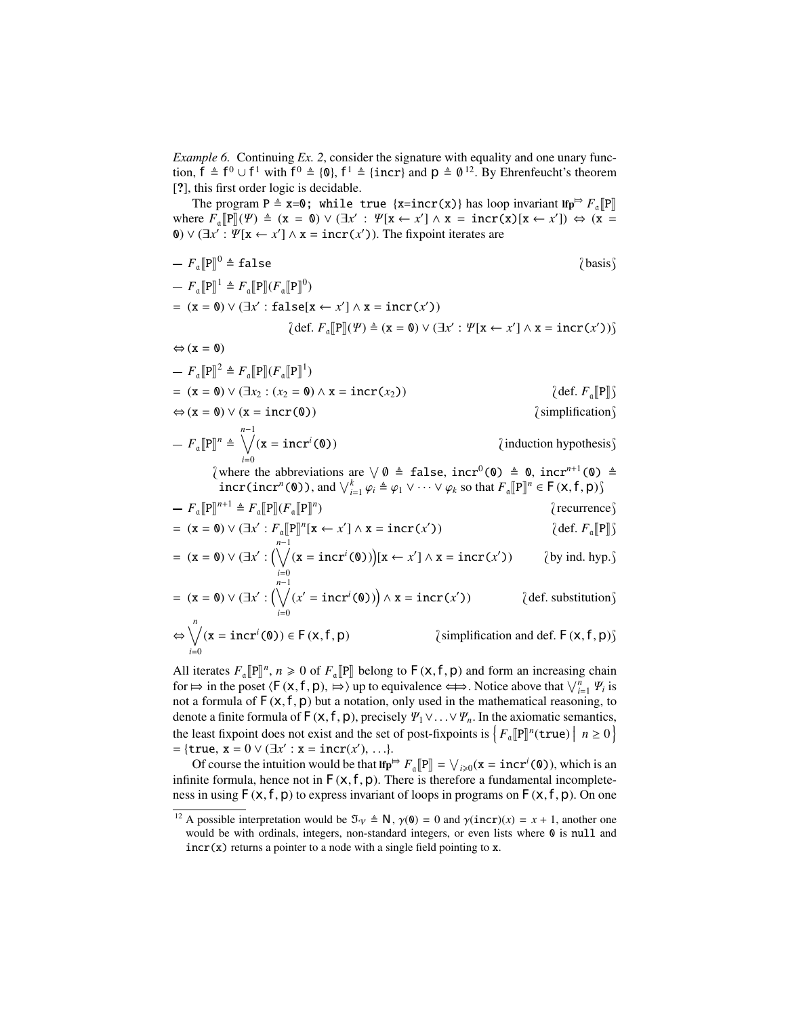*Example 6.* Continuing *Ex. [2](#page-7-3)*, consider the signature with equality and one unary function,  $f \triangleq f^0 \cup f^1$  with  $f^0 \triangleq \{0\}$ ,  $f^1 \triangleq \{\text{incr}\}$  and  $p \triangleq \emptyset^{12}$  $p \triangleq \emptyset^{12}$  $p \triangleq \emptyset^{12}$ . By Ehrenfeucht's theorem [?], this first order logic is decidable.

The program P  $\triangleq$  **x**=0; while true {**x**=incr(**x**)} has loop invariant lfp<sup> $\Rightarrow$ </sup>  $F_a$  [P] where  $F_{\alpha}[\mathbb{P}](\Psi) \triangleq (\mathbf{x} = \mathbf{0}) \vee (\exists x' : \Psi[\mathbf{x} \leftarrow x'] \wedge \mathbf{x} = \mathrm{incr}(\mathbf{x})[\mathbf{x} \leftarrow x']) \Leftrightarrow (\mathbf{x} = \mathbf{0}) \vee (\exists x' : \Psi[\mathbf{x} \leftarrow x'] \wedge \mathbf{x} = \mathrm{incr}(x') )$ . The fix point iterates are **0**) ∨ ( $\exists x$  :  $\Psi$ [**x** ←  $x'$ ] ∧ **x** = **incr**( $x'$ )). The fixpoint iterates are

$$
- F_{\alpha}[\mathbb{P}]^{0} \triangleq false
$$
\n
$$
- F_{\alpha}[\mathbb{P}][F_{\alpha}[\mathbb{P}]](F_{\alpha}[\mathbb{P}])^{0}
$$
\n
$$
= (x = 0) \vee (\exists x' : false[x \leftarrow x'] \wedge x = incr(x'))
$$
\n
$$
\{\text{def. } F_{\alpha}[\mathbb{P}](\mathcal{P}) \triangleq (x = 0) \vee (\exists x' : \mathcal{P}[x \leftarrow x'] \wedge x = incr(x'))\}
$$
\n
$$
\Leftrightarrow (x = 0)
$$
\n
$$
- F_{\alpha}[\mathbb{P}]^{2} \triangleq F_{\alpha}[\mathbb{P}][F_{\alpha}[\mathbb{P}]]^{1}
$$
\n
$$
= (x = 0) \vee (\exists x_{2} : (x_{2} = 0) \wedge x = incr(x_{2}))
$$
\n
$$
\Leftrightarrow (x = 0) \vee (x = incr(0))
$$
\n
$$
- F_{\alpha}[\mathbb{P}]^{n} \triangleq \bigvee_{i=0}^{n-1} (x = incr^{i}(0))
$$
\n
$$
\{\text{implification } \text{hypothesis}\}
$$
\n
$$
= \text{where the abbreviations are } \vee 0 \triangleq false, incr^{0}(0) \triangleq 0, incr^{n+1}(0) \triangleq incr(incr^{n}(0)), and \vee_{i=1}^{k} \varphi_{i} \triangleq \varphi_{1} \vee \cdots \vee \varphi_{k} \text{ so that } F_{\alpha}[\mathbb{P}]^{n} \in F(x, f, p)\}
$$
\n
$$
- F_{\alpha}[\mathbb{P}]^{n+1} \triangleq F_{\alpha}[\mathbb{P}](F_{\alpha}[\mathbb{P}]^{n})
$$
\n
$$
= (x = 0) \vee (\exists x' : F_{\alpha}[\mathbb{P}][T(x \leftarrow x'] \wedge x = incr(x')))
$$
\n
$$
= (x = 0) \vee (\exists x' : (\bigvee_{i=0}^{n-1} (x = incr^{i}(0)))[x \leftarrow x'] \wedge x = incr(x'))
$$
\n
$$
\text{def. } F_{\alpha}[\mathbb{P}]\}
$$
\n
$$
= (x
$$

$$
= (\mathbf{x} = \mathbf{0}) \vee (\exists x' : \left( \bigvee_{i=0}^{n-1} (x' = \mathbf{incr}^i(\mathbf{0})) \right) \wedge \mathbf{x} = \mathbf{incr}(x')) \qquad \text{(def. substitution)}
$$

$$
\Leftrightarrow \bigvee_{i=0}^{n} (\mathbf{x} = \mathbf{incr}^{i}(\mathbf{0})) \in F(\mathbf{x}, f, p) \qquad \qquad \text{(simplification and def. } F(\mathbf{x}, f, p) \text{)}
$$

All iterates  $F_{\alpha}[\mathbb{P}]^n$ ,  $n \ge 0$  of  $F_{\alpha}[\mathbb{P}]$  belong to  $F(x, f, p)$  and form an increasing chain for  $\mapsto$  in the poset  $/F(x, f, p) \mapsto$  in to equivalence  $\leftrightarrow$  Notice above that  $\vee^n E(x, p)$ for  $\Leftrightarrow$  in the poset  $\langle F(x, f, p), \Rightarrow \rangle$  up to equivalence  $\Leftrightarrow$ . Notice above that  $\bigvee_{i=1}^{n} \Psi_i$  is not a formula of  $F(x, f, p)$  but a notation, only used in the mathematical reasoning, to denote a finite formula of  $F(x, f, p)$ , precisely  $\Psi_1 \vee \ldots \vee \Psi_n$ . In the axiomatic semantics, the least fixpoint does not exist and the set of post-fixpoints is  $\{F_{\alpha}[\mathbb{P}]^n(\mathbf{true}) \mid n \ge 0\}$ = {true,  $\mathbf{x} = 0 \vee (\exists x' : \mathbf{x} = \text{incr}(x'), \ldots).$ <br>Of course the intuition would be that line

Of course the intuition would be that  $\text{If } \mathbf{p} \models F_{\mathbf{a}}[\mathbf{P}] = \bigvee_{i \geq 0} (\mathbf{x} = \text{incr}^i(\mathbf{0}))$ , which is an arite formula hance not in  $\mathbf{F}(\mathbf{v}, \mathbf{f}, \mathbf{n})$ . There is therefore a fundamental incomplete. infinite formula, hence not in  $F(x, f, p)$ . There is therefore a fundamental incompleteness in using  $F(x, f, p)$  to express invariant of loops in programs on  $F(x, f, p)$ . On one

<span id="page-13-0"></span><sup>&</sup>lt;sup>12</sup> A possible interpretation would be  $\mathfrak{I}_{\gamma} \triangleq N$ ,  $\gamma(0) = 0$  and  $\gamma(\text{incr})(x) = x + 1$ , another one would be with ordinals, integers, non-standard integers, or even lists where  $\theta$  is null and  $incr(x)$  returns a pointer to a node with a single field pointing to x.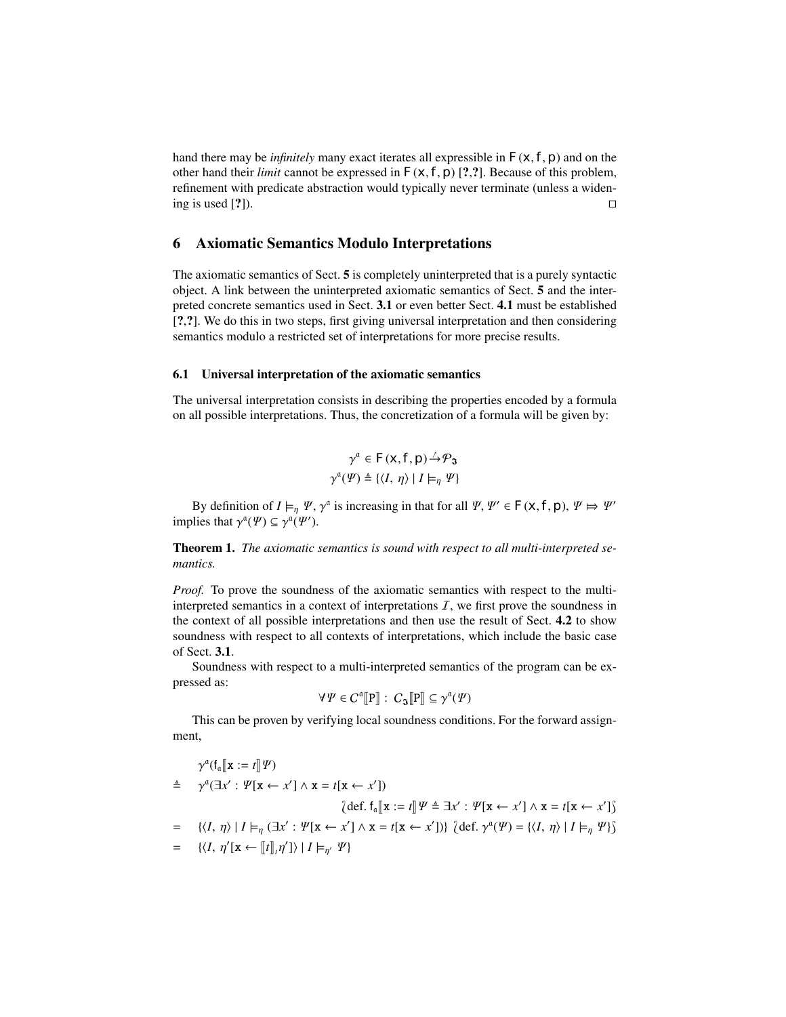hand there may be *infinitely* many exact iterates all expressible in  $F(x, f, p)$  and on the other hand their *limit* cannot be expressed in  $F(x, f, p)$  [?,?]. Because of this problem, refinement with predicate abstraction would typically never terminate (unless a widening is used  $[?]$ ).

## <span id="page-14-0"></span>6 Axiomatic Semantics Modulo Interpretations

The axiomatic semantics of Sect. [5](#page-12-0) is completely uninterpreted that is a purely syntactic object. A link between the uninterpreted axiomatic semantics of Sect. [5](#page-12-0) and the interpreted concrete semantics used in Sect. [3.1](#page-6-0) or even better Sect. [4.1](#page-9-2) must be established [?,?]. We do this in two steps, first giving universal interpretation and then considering semantics modulo a restricted set of interpretations for more precise results.

### 6.1 Universal interpretation of the axiomatic semantics

The universal interpretation consists in describing the properties encoded by a formula on all possible interpretations. Thus, the concretization of a formula will be given by:

$$
\gamma^{\alpha} \in F(\mathbf{x}, f, \mathbf{p}) \stackrel{\gamma}{\rightarrow} \mathcal{P}_{\mathfrak{F}}
$$

$$
\gamma^{\alpha}(\mathcal{V}) \triangleq \{ \langle I, \eta \rangle \mid I \models_{\eta} \mathcal{V} \}
$$

By definition of  $I \models_{\eta} \Psi$ ,  $\gamma^{\alpha}$  is increasing in that for all  $\Psi$ ,  $\Psi' \in F(x, f, p)$ ,  $\Psi \mapsto \Psi'$ <br>lies that  $\gamma^{\alpha}(\Psi) \subset \gamma^{\alpha}(\Psi')$ implies that  $\gamma^{\mathfrak{a}}(\Psi) \subseteq \gamma^{\mathfrak{a}}(\Psi')$ .

Theorem 1. *The axiomatic semantics is sound with respect to all multi-interpreted semantics.*

*Proof.* To prove the soundness of the axiomatic semantics with respect to the multiinterpreted semantics in a context of interpretations  $I$ , we first prove the soundness in the context of all possible interpretations and then use the result of Sect. [4.2](#page-10-0) to show soundness with respect to all contexts of interpretations, which include the basic case of Sect. [3.1](#page-6-0).

Soundness with respect to a multi-interpreted semantics of the program can be expressed as:

$$
\forall \Psi \in C^{\mathfrak{a}}[\![\mathtt{P}]\!]: C_{\mathfrak{J}}[\![\mathtt{P}]\!] \subseteq \gamma^{\mathfrak{a}}(\Psi)
$$

This can be proven by verifying local soundness conditions. For the forward assignment,

$$
\gamma^{\alpha}(f_{\alpha}[\![\mathbf{x}:=t]\!] \mathcal{V})
$$
\n
$$
\triangleq \gamma^{\alpha}(\exists x': \mathcal{V}[\mathbf{x} \leftarrow x'] \land \mathbf{x} = t[\mathbf{x} \leftarrow x'])
$$
\n
$$
\{\text{def. } f_{\alpha}[\![\mathbf{x}:=t]\!] \mathcal{V} \triangleq \exists x': \mathcal{V}[\mathbf{x} \leftarrow x'] \land \mathbf{x} = t[\mathbf{x} \leftarrow x']\}
$$
\n
$$
= \{\langle I, \eta \rangle \mid I \models_{\eta} (\exists x': \mathcal{V}[\mathbf{x} \leftarrow x'] \land \mathbf{x} = t[\mathbf{x} \leftarrow x'])\} \text{def. } \gamma^{\alpha}(\mathcal{V}) = \{\langle I, \eta \rangle \mid I \models_{\eta} \mathcal{V}\}\}
$$
\n
$$
= \{\langle I, \eta'[\mathbf{x} \leftarrow [\![t]\!], \eta']\rangle \mid I \models_{\eta'} \mathcal{V}\}
$$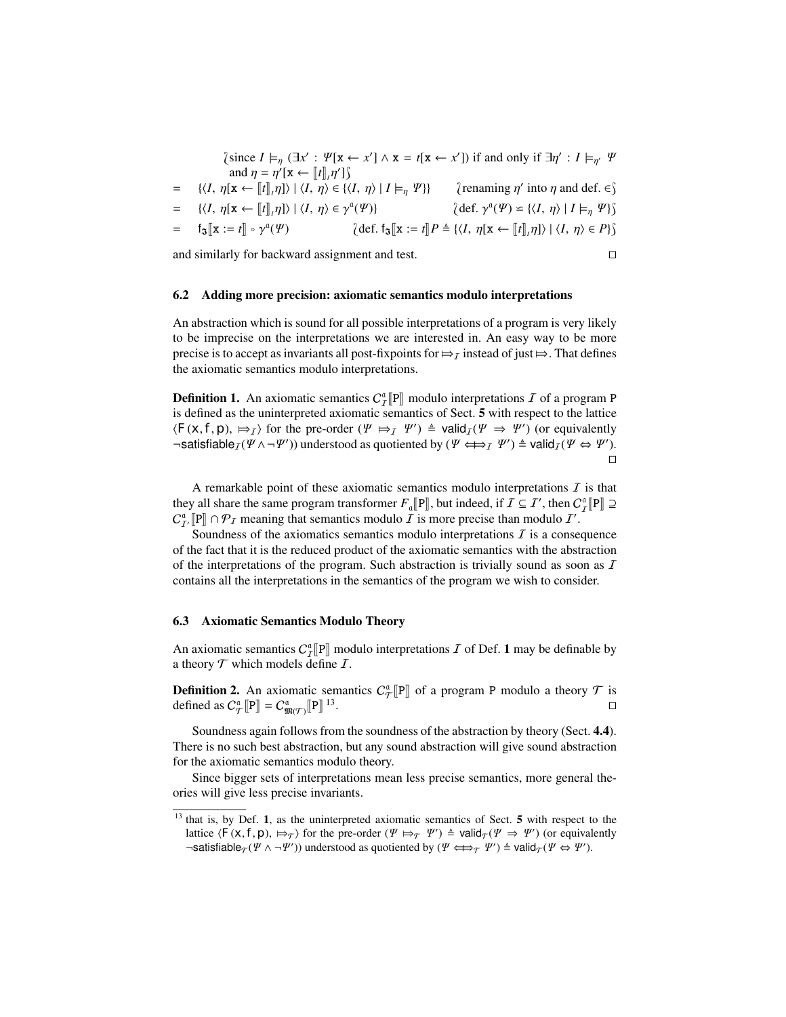$\{\text{since } I \models_{\eta} (\exists x' : \Psi[\mathbf{x} \leftarrow x'] \land \mathbf{x} = t[\mathbf{x} \leftarrow x']) \text{ if and only if } \exists \eta' : I \models_{\eta'} \Psi\}$ and  $\eta = \eta'[\mathbf{x} \leftarrow [[t]], \eta']$ <br> $\mathbf{x} \leftarrow [[t]], \eta \right) \cup (I, \eta) \in \mathcal{U}$ = { $\langle I, \eta[x \leftarrow [t], \eta] \rangle | \langle I, \eta \rangle \in \{\langle I, \eta \rangle | I \models_{\eta} \Psi \} \}$  (renaming  $\eta$ ' into  $\eta$  and def. ∈  $\int$ 

$$
= \{ \langle I, \eta[\mathbf{x} \leftarrow [\![t]\!]_J \eta] \rangle \mid \langle I, \eta \rangle \in \gamma^a(\mathcal{Y}) \} \qquad \text{def. } \gamma^a(\mathcal{Y}) \simeq \{ \langle I, \eta \rangle \mid I \models_{\eta} \mathcal{Y} \} \}
$$

$$
= \mathsf{f}_{\mathfrak{J}}[\![\mathbf{x}:=t]\!] \circ \gamma^{\mathfrak{a}}(\mathcal{V}) \qquad \qquad \text{def.} \ \mathsf{f}_{\mathfrak{J}}[\![\mathbf{x}:=t]\!] P \triangleq \{ \langle I, \eta[\![\mathbf{x} \leftarrow [\![t]\!],\eta] \rangle \mid \langle I, \eta \rangle \in P \} \text{ }
$$

and similarly for backward assignment and test.

$$
\Box
$$

## 6.2 Adding more precision: axiomatic semantics modulo interpretations

An abstraction which is sound for all possible interpretations of a program is very likely to be imprecise on the interpretations we are interested in. An easy way to be more precise is to accept as invariants all post-fixpoints for  $\Rightarrow$  I instead of just  $\Rightarrow$ . That defines the axiomatic semantics modulo interpretations.

<span id="page-15-0"></span>**Definition 1.** An axiomatic semantics  $C_{I}^{a}[\mathbb{P}]$  modulo interpretations  $I$  of a program P is defined as the uninterpreted exigenctic semantics of Sect. 5 with respect to the lettice is defined as the uninterpreted axiomatic semantics of Sect. [5](#page-12-0) with respect to the lattice  $\langle F(x, f, p), \rightharpoonup_f \rangle$  for the pre-order  $(\Psi \rightharpoonup_f \Psi') \triangleq \text{valid}_I(\Psi \Rightarrow \Psi')$  (or equivalently  $\Rightarrow$   $\Rightarrow$   $\forall$ ii  $\Rightarrow$   $(\Psi \wedge \neg \Psi') \triangleq \text{valid}_I(\Psi \wedge \Psi')$  $\neg$ satisfiable $\varphi_I(\Psi \wedge \neg \Psi')$ ) understood as quotiented by  $(\Psi \Longleftrightarrow_I \Psi') \triangleq \text{valid}_I(\Psi \Leftrightarrow \Psi')$ .  $\Box$ 

A remarkable point of these axiomatic semantics modulo interpretations  $I$  is that they all share the same program transformer  $F_a[\mathbb{P}]$ , but indeed, if  $I \subseteq I'$ , then  $C_I^a[\mathbb{P}] \supseteq C^a[\mathbb{P}] \supseteq C^a[\mathbb{P}] \supseteq C^a$ .  $C_T^{\alpha}$  [P]  $\cap \mathcal{P}_I$  meaning that semantics modulo  $\overline{I}$  is more precise than modulo  $\overline{I}'$ .<br>Soundness of the exigencties semantics modulo interpretations  $\overline{I}$  is a sense

Soundness of the axiomatics semantics modulo interpretations  $\overline{I}$  is a consequence of the fact that it is the reduced product of the axiomatic semantics with the abstraction of the interpretations of the program. Such abstraction is trivially sound as soon as  $I$ contains all the interpretations in the semantics of the program we wish to consider.

## 6.3 Axiomatic Semantics Modulo Theory

An axiomatic semantics  $C_{\mathcal{I}}^{\alpha}[\mathbb{P}]$  modulo interpretations  $\mathcal{I}$  of Def. [1](#page-15-0) may be definable by a theory  $T$  which models define  $I$ .

**Definition 2.** An axiomatic semantics  $C_{\mathcal{T}}^{\alpha}[\mathbb{P}]$  of a program P modulo a theory  $\mathcal{T}$  is defined as  $C_{\mathcal{T}}^{\alpha}[\mathbb{P}] = C_{\mathfrak{M}(\mathcal{T})}^{\alpha}[\mathbb{P}]^{13}$  $C_{\mathcal{T}}^{\alpha}[\mathbb{P}] = C_{\mathfrak{M}(\mathcal{T})}^{\alpha}[\mathbb{P}]^{13}$  $C_{\mathcal{T}}^{\alpha}[\mathbb{P}] = C_{\mathfrak{M}(\mathcal{T})}^{\alpha}[\mathbb{P}]^{13}$ .

Soundness again follows from the soundness of the abstraction by theory (Sect. [4.4](#page-12-1)). There is no such best abstraction, but any sound abstraction will give sound abstraction for the axiomatic semantics modulo theory.

Since bigger sets of interpretations mean less precise semantics, more general theories will give less precise invariants.

<span id="page-15-1"></span><sup>&</sup>lt;sup>[1](#page-15-0)3</sup> that is, by Def. 1, as the uninterpreted axiomatic semantics of Sect. [5](#page-12-0) with respect to the lattice  $\langle F(x, f, p), \rhd_{\mathcal{T}} \rangle$  for the pre-order  $(\Psi \rhd_{\mathcal{T}} \Psi') \triangleq \text{valid}_{\mathcal{T}}(\Psi \Rightarrow \Psi')$  (or equivalently  $\neg$ satisfiable $\neg(\Psi \wedge \neg \Psi')$ ) understood as quotiented by  $(\Psi \Longleftrightarrow \Psi') \triangleq \text{valid}_{\mathcal{T}}(\Psi \Leftrightarrow \Psi').$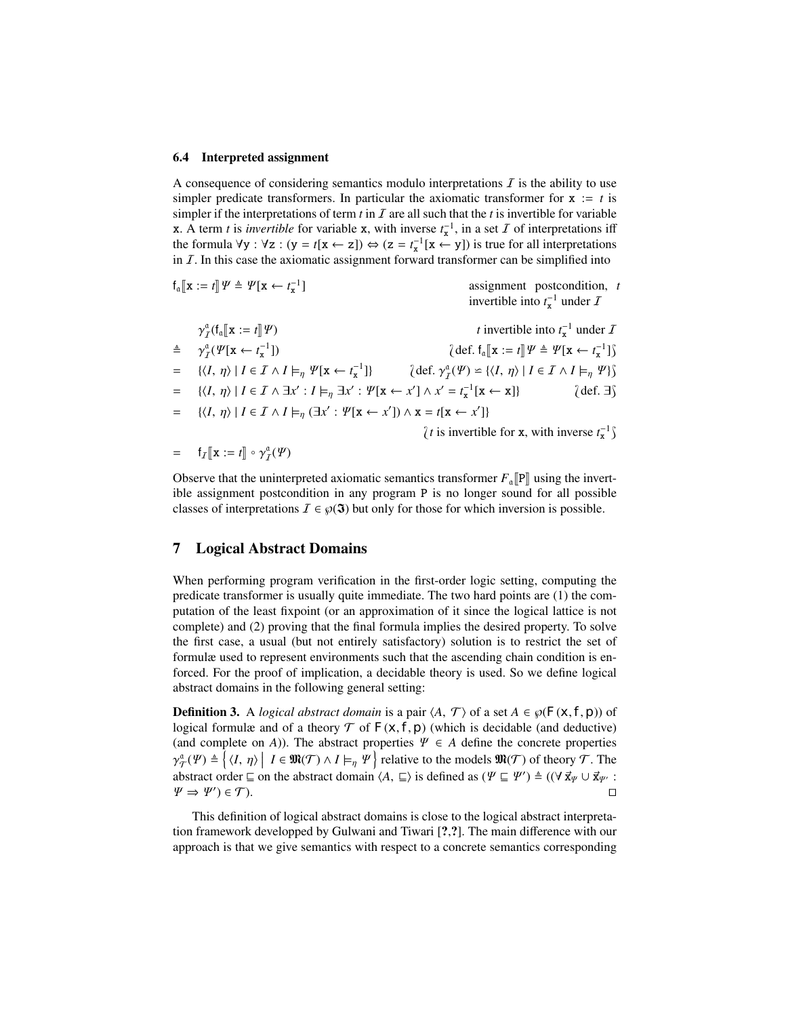### 6.4 Interpreted assignment

A consequence of considering semantics modulo interpretations  $\bar{I}$  is the ability to use simpler predicate transformers. In particular the axiomatic transformer for  $x := t$  is simpler if the interpretations of term  $t$  in  $\bar{I}$  are all such that the  $t$  is invertible for variable x. A term *t* is *invertible* for variable x, with inverse  $t_x^{-1}$ , in a set *I* of interpretations iff the formula  $\forall y : \forall z : (y = t[x \leftarrow z]) \Leftrightarrow (z = t_x^{-1}[x \leftarrow y])$  is true for all interpretations in  $I$ . In this case the axiomatic assignment forward transformer can be simplified into

| $f_{\alpha}$ $\mathbf{x} := t \mathbf{y} \mathbf{y} = \mathbf{y} \mathbf{x} \leftarrow t_{\mathbf{y}}^{-1}$                                        | assignment postcondition, t<br>invertible into $t_x^{-1}$ under $\overline{I}$                                                                                |                  |
|----------------------------------------------------------------------------------------------------------------------------------------------------|---------------------------------------------------------------------------------------------------------------------------------------------------------------|------------------|
| $\gamma_{\tau}^{\alpha}(\mathfrak{f}_{\alpha}  \mathbf{x}:=t  \Psi)$                                                                               | <i>t</i> invertible into $t_x^{-1}$ under $\overline{I}$                                                                                                      |                  |
| $\triangleq \gamma_{\tau}^{\alpha}(\Psi[\mathbf{x} \leftarrow t_{\mathbf{x}}^{-1}])$                                                               | $\partial \det f_{\alpha} \llbracket \mathbf{x} \right  := t \llbracket \Psi \triangleq \Psi \llbracket \mathbf{x} \leftarrow t_{\mathbf{x}}^{-1} \rrbracket$ |                  |
|                                                                                                                                                    |                                                                                                                                                               |                  |
| = $\{\langle I, \eta \rangle   I \in I \wedge \exists x' : I \models_n \exists x' : \Psi[x \leftarrow x'] \wedge x' = t_x^{-1}[x \leftarrow x]\}\$ |                                                                                                                                                               | $\det$ $\exists$ |
| = $\{\langle I, \eta \rangle   I \in I \wedge I \models_n (\exists x' : \Psi[x \leftarrow x']) \wedge x = t[x \leftarrow x']\}$                    |                                                                                                                                                               |                  |
|                                                                                                                                                    | $\ell$ is invertible for <b>x</b> , with inverse $t_{\mathbf{x}}^{-1}$                                                                                        |                  |
| $=$ $f_I[x := t] \circ \gamma_\tau^{\alpha}(\varPsi)$                                                                                              |                                                                                                                                                               |                  |

Observe that the uninterpreted axiomatic semantics transformer  $F_a$   $\llbracket P \rrbracket$  using the invertible assignment postcondition in any program  $R$  is no longer sound for all possible ible assignment postcondition in any program P is no longer sound for all possible classes of interpretations  $I \in \mathcal{P}(\mathfrak{I})$  but only for those for which inversion is possible.

## 7 Logical Abstract Domains

When performing program verification in the first-order logic setting, computing the predicate transformer is usually quite immediate. The two hard points are (1) the computation of the least fixpoint (or an approximation of it since the logical lattice is not complete) and (2) proving that the final formula implies the desired property. To solve the first case, a usual (but not entirely satisfactory) solution is to restrict the set of formulæ used to represent environments such that the ascending chain condition is enforced. For the proof of implication, a decidable theory is used. So we define logical abstract domains in the following general setting:

**Definition 3.** A *logical abstract domain* is a pair  $\langle A, \mathcal{T} \rangle$  of a set  $A \in \mathcal{P}(F(x, f, p))$  of logical formulæ and of a theory  $\mathcal T$  of  $F(x, f, p)$  (which is decidable (and deductive) (and complete on *A*)). The abstract properties  $\Psi \in A$  define the concrete properties abstract order  $\subseteq$  on the abstract domain  $\langle A, \sqsubseteq \rangle$  is defined as  $(\Psi \sqsubseteq \Psi') \triangleq ((\forall \vec{x}_{\Psi} \cup \vec{x}_{\Psi'} : \Psi \rightarrow \Psi') \in \mathcal{T})$  $\mathbb{R}^{\alpha}_{\mathcal{T}}(\Psi) \triangleq \{(I, \eta) \mid I \in \mathfrak{M}(\mathcal{T}) \wedge I \models_{\eta} \Psi\}$  relative to the models  $\mathfrak{M}(\mathcal{T})$  of theory  $\mathcal{T}$ . The  $\Psi \Rightarrow \Psi'$  $) \in \mathcal{T}$ ).

This definition of logical abstract domains is close to the logical abstract interpretation framework developped by Gulwani and Tiwari [?,?]. The main difference with our approach is that we give semantics with respect to a concrete semantics corresponding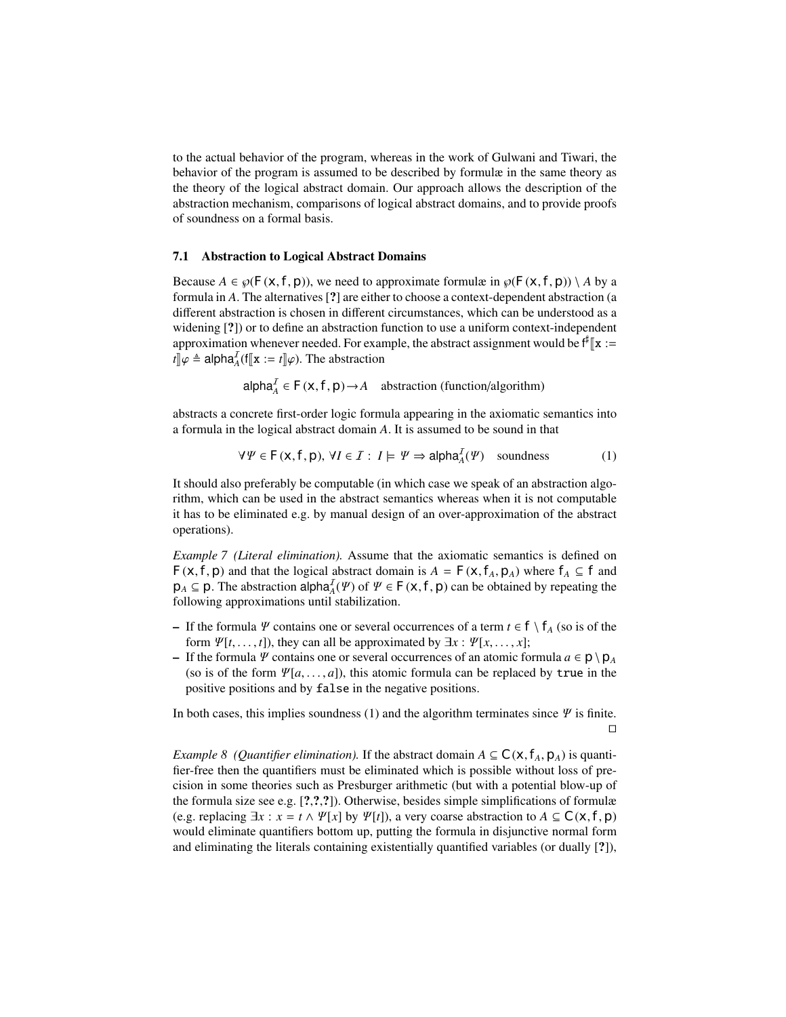to the actual behavior of the program, whereas in the work of Gulwani and Tiwari, the behavior of the program is assumed to be described by formulæ in the same theory as the theory of the logical abstract domain. Our approach allows the description of the abstraction mechanism, comparisons of logical abstract domains, and to provide proofs of soundness on a formal basis.

### <span id="page-17-0"></span>7.1 Abstraction to Logical Abstract Domains

Because  $A \in \mathcal{P}(F(x, f, p))$ , we need to approximate formulæ in  $\mathcal{P}(F(x, f, p)) \setminus A$  by a formula in *A*. The alternatives [?] are either to choose a context-dependent abstraction (a different abstraction is chosen in different circumstances, which can be understood as a widening [?]) or to define an abstraction function to use a uniform context-independent approximation whenever needed. For example, the abstract assignment would be  $f^{\sharp}$   $[\![x := f]_{\alpha} \triangleq \text{alph} 2^{f} (f\mathbb{I}_x := f]_{\alpha}$ . The abstraction  $\partial_t \phi \triangleq \text{alpha}_A^T(f[\![\mathbf{x}:=t]\!]\varphi)$ . The abstraction

 $\text{alpha}_A^T \in F(\mathbf{x}, \mathbf{f}, \mathbf{p}) \rightarrow A$  abstraction (function/algorithm)

abstracts a concrete first-order logic formula appearing in the axiomatic semantics into a formula in the logical abstract domain *A*. It is assumed to be sound in that

$$
\forall \Psi \in \mathcal{F}(\mathbf{x}, \mathbf{f}, \mathbf{p}), \forall I \in \mathcal{I} : I \models \Psi \Rightarrow \mathsf{alpha}_{A}^{I}(\Psi) \quad \text{soundness} \tag{1}
$$

It should also preferably be computable (in which case we speak of an abstraction algorithm, which can be used in the abstract semantics whereas when it is not computable it has to be eliminated e.g. by manual design of an over-approximation of the abstract operations).

*Example 7 (Literal elimination).* Assume that the axiomatic semantics is defined on  $F(x, f, p)$  and that the logical abstract domain is  $A = F(x, f_A, p_A)$  where  $f_A \subseteq f$  and  $p_A \subseteq p$ . The abstraction alpha $\overline{A}(W)$  of  $\Psi \in F(x, f, p)$  can be obtained by repeating the following approximations until stabilization following approximations until stabilization.

- If the formula  $\varPsi$  contains one or several occurrences of a term  $t \in f \ \setminus f_A$  (so is of the form  $\Psi[t, \ldots, t]$ ), they can all be approximated by  $\exists x : \Psi[x, \ldots, x]$ ;
- If the formula <sup>Ψ</sup> contains one or several occurrences of an atomic formula *<sup>a</sup>* <sup>∈</sup> <sup>p</sup>\p*<sup>A</sup>* (so is of the form  $\Psi[a, \ldots, a]$ ), this atomic formula can be replaced by true in the positive positions and by false in the negative positions.

In both cases, this implies soundness [\(1\)](#page-17-0) and the algorithm terminates since  $\Psi$  is finite.  $\Box$ 

<span id="page-17-1"></span>*Example 8 (Quantifier elimination)*. If the abstract domain  $A \subseteq C(\mathbf{x}, f_A, \mathbf{p}_A)$  is quantifier-free then the quantifiers must be eliminated which is possible without loss of precision in some theories such as Presburger arithmetic (but with a potential blow-up of the formula size see e.g. [?,?,?]). Otherwise, besides simple simplifications of formulæ (e.g. replacing  $\exists x : x = t \wedge \Psi[x]$  by  $\Psi[t]$ ), a very coarse abstraction to  $A \subseteq C(x, f, p)$ would eliminate quantifiers bottom up, putting the formula in disjunctive normal form and eliminating the literals containing existentially quantified variables (or dually [?]),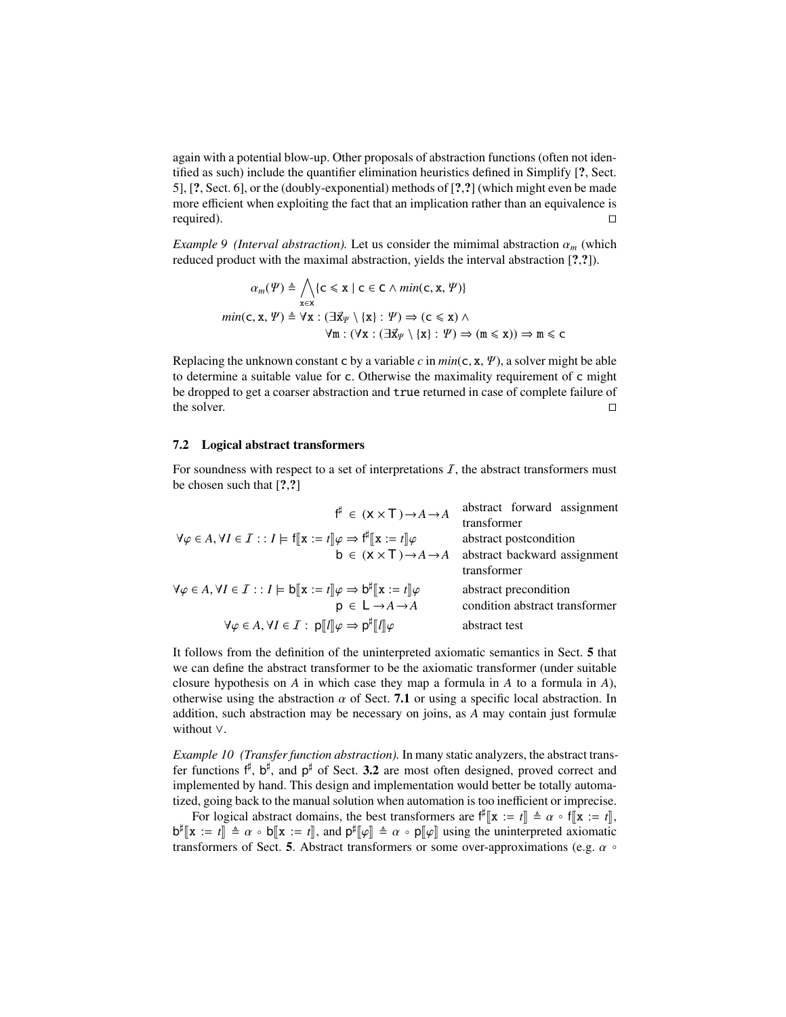again with a potential blow-up. Other proposals of abstraction functions (often not identified as such) include the quantifier elimination heuristics defined in Simplify [?, Sect. 5], [?, Sect. 6], or the (doubly-exponential) methods of [?,?] (which might even be made more efficient when exploiting the fact that an implication rather than an equivalence is required).  $\Box$ 

<span id="page-18-0"></span>*Example 9 (Interval abstraction)*. Let us consider the mimimal abstraction  $\alpha_m$  (which reduced product with the maximal abstraction, yields the interval abstraction [?,?]).

$$
\alpha_m(\Psi) \triangleq \bigwedge_{x \in x} \{c \le x \mid c \in c \land min(c, x, \Psi)\}
$$
  

$$
min(c, x, \Psi) \triangleq \forall x : (\exists \vec{x}_{\Psi} \setminus \{x\} : \Psi) \Rightarrow (c \le x) \land
$$
  

$$
\forall m : (\forall x : (\exists \vec{x}_{\Psi} \setminus \{x\} : \Psi) \Rightarrow (m \le x)) \Rightarrow m \le c
$$

Replacing the unknown constant c by a variable  $c$  in  $min(c, x, \Psi)$ , a solver might be able to determine a suitable value for c. Otherwise the maximality requirement of c might be dropped to get a coarser abstraction and true returned in case of complete failure of the solver.  $\Box$ 

### 7.2 Logical abstract transformers

For soundness with respect to a set of interpretations  $I$ , the abstract transformers must be chosen such that [?,?]

| $f^{\sharp} \in (X \times T) \rightarrow A \rightarrow A$                                                                                       | abstract forward assignment    |
|-------------------------------------------------------------------------------------------------------------------------------------------------|--------------------------------|
|                                                                                                                                                 | transformer                    |
| $\forall \varphi \in A, \forall I \in \mathcal{I} : : I \models f[[\mathbf{x} := t]] \varphi \Rightarrow f^{\sharp}[[\mathbf{x} := t]] \varphi$ | abstract postcondition         |
| $b \in (x \times T) \rightarrow A \rightarrow A$                                                                                                | abstract backward assignment   |
|                                                                                                                                                 | transformer                    |
| $\forall \varphi \in A, \forall I \in \mathcal{I} : : I \models b[[x := t]] \varphi \Rightarrow b^{\sharp}[[x := t]] \varphi$                   | abstract precondition          |
| $p \in L \rightarrow A \rightarrow A$                                                                                                           | condition abstract transformer |
| $\forall \varphi \in A, \forall I \in \mathcal{I}: p[[l]]\varphi \Rightarrow p^{\sharp}[[l]]\varphi$                                            | abstract test                  |
|                                                                                                                                                 |                                |

It follows from the definition of the uninterpreted axiomatic semantics in Sect. [5](#page-12-0) that we can define the abstract transformer to be the axiomatic transformer (under suitable closure hypothesis on *A* in which case they map a formula in *A* to a formula in *A*), otherwise using the abstraction  $\alpha$  of Sect. [7.1](#page-17-0) or using a specific local abstraction. In addition, such abstraction may be necessary on joins, as *A* may contain just formulæ without ∨.

*Example 10 (Transfer function abstraction).* In many static analyzers, the abstract transfer functions  $f^{\sharp}$ ,  $b^{\sharp}$ , and  $p^{\sharp}$  of Sect. [3.2](#page-7-4) are most often designed, proved correct and implemented by hand. This design and implementation would better be totally automatized, going back to the manual solution when automation is too inefficient or imprecise.

For logical abstract domains, the best transformers are  $f^{\#}[\![\mathbf{x} := t]\!] \triangleq \alpha \circ f[\![\mathbf{x} := t]\!]$ ,  $\vdash \neg t \Rightarrow \alpha \circ f[\![\mathbf{x} := t]\!]$ ,  $\vdash \alpha \circ f[\![\mathbf{x} := t]\!]$ ,  $\vdash \alpha \circ f[\![\mathbf{x} := t]\!]$ , and  $\alpha \vdash \exists \alpha \circ f[\![\mathbf{x} := t]\!]$ , using the uninterpret  $b^{\sharp}[\![\mathbf{x}]:=t]\!] \triangleq \alpha \circ b[\![\mathbf{x}:=t]\!]$ , and  $p^{\sharp}[\![\varphi]\!] \triangleq \alpha \circ p[\![\varphi]\!]$  using the uninterpreted axiomatic transformers of Sect. 5. Abstract transformers or some over-approximations (e.g.  $\alpha$ ) transformers of Sect. [5](#page-12-0). Abstract transformers or some over-approximations (e.g.  $\alpha \circ$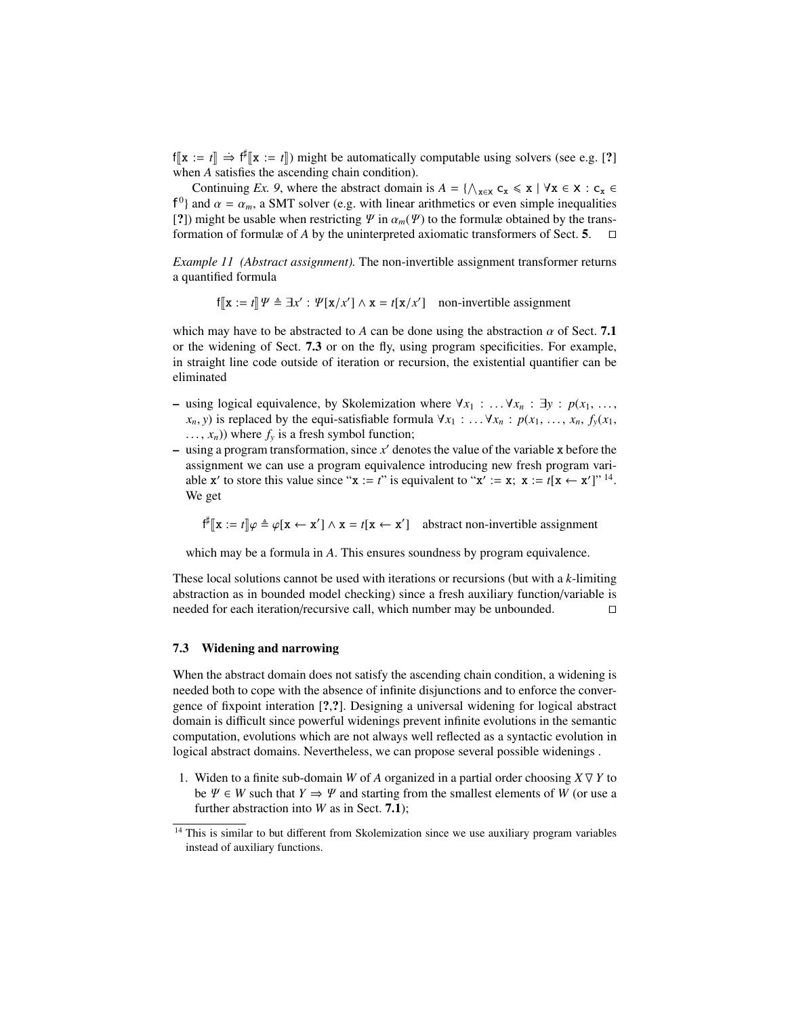$[[x := t]] \Rightarrow f^{\sharp}[[x := t]]$  might be automatically computable using solvers (see e.g. [?] when *A* satisfies the ascending chain condition).

Continuing *Ex.* [9](#page-18-0), where the abstract domain is  $A = \{ \bigwedge_{x \in x} c_x \le x \mid \forall x \in x : c_x \in$ f<sup>0</sup>} and  $\alpha = \alpha_m$ , a SMT solver (e.g. with linear arithmetics or even simple inequalities (P)) might be usable when restricting  $\Psi$  in  $\alpha$  ( $\Psi$ ) to the formula obtained by the trans-[?]) might be usable when restricting  $\Psi$  in  $\alpha_m(\Psi)$  to the formulæ obtained by the transformation of formulæ of A by the uninterpreted axiomatic transformers of Sect. 5.  $\Box$ formation of formulæ of *A* by the uninterpreted axiomatic transformers of Sect. [5](#page-12-0).

*Example 11 (Abstract assignment).* The non-invertible assignment transformer returns a quantified formula

 $f[x := t]$   $\Psi \triangleq \exists x' : \Psi[x/x'] \land x = t[x/x']$  non-invertible assignment

which may have to be abstracted to *A* can be done using the abstraction  $\alpha$  of Sect. **[7.1](#page-17-0)** or the widening of Sect. [7.3](#page-19-0) or on the fly, using program specificities. For example, in straight line code outside of iteration or recursion, the existential quantifier can be eliminated

- using logical equivalence, by Skolemization where  $\forall x_1 : ... \forall x_n : ∃y : p(x_1, ... , ...)$ *x<sub>n</sub>*, *y*) is replaced by the equi-satisfiable formula  $\forall x_1 : ... \forall x_n : p(x_1, ..., x_n, f_v(x_1,$  $\dots$ ,  $x_n$ )) where  $f_y$  is a fresh symbol function;
- $-$  using a program transformation, since  $x'$  denotes the value of the variable x before the assignment we can use a program equivalence introducing new fresh program variable **x**' to store this value since "**x** := *t*" is equivalent to "**x**' := **x**; **x** :=  $t[x \leftarrow x']$ " <sup>[14](#page-19-1)</sup>. We get

 $f^{\sharp}[\![\mathbf{x} := t]\!] \varphi \triangleq \varphi[\![\mathbf{x} \leftarrow \mathbf{x'}\!] \land \mathbf{x} = t[\mathbf{x} \leftarrow \mathbf{x'}\!]$  abstract non-invertible assignment

which may be a formula in *A*. This ensures soundness by program equivalence.

These local solutions cannot be used with iterations or recursions (but with a *k*-limiting abstraction as in bounded model checking) since a fresh auxiliary function/variable is needed for each iteration/recursive call, which number may be unbounded.  $\Box$ 

### <span id="page-19-0"></span>7.3 Widening and narrowing

When the abstract domain does not satisfy the ascending chain condition, a widening is needed both to cope with the absence of infinite disjunctions and to enforce the convergence of fixpoint interation [?,?]. Designing a universal widening for logical abstract domain is difficult since powerful widenings prevent infinite evolutions in the semantic computation, evolutions which are not always well reflected as a syntactic evolution in logical abstract domains. Nevertheless, we can propose several possible widenings .

1. Widen to a finite sub-domain *W* of *A* organized in a partial order choosing  $X \nabla Y$  to be  $\Psi \in W$  such that  $Y \Rightarrow \Psi$  and starting from the smallest elements of W (or use a further abstraction into *W* as in Sect. [7.1](#page-17-0));

<span id="page-19-1"></span><sup>&</sup>lt;sup>14</sup> This is similar to but different from Skolemization since we use auxiliary program variables instead of auxiliary functions.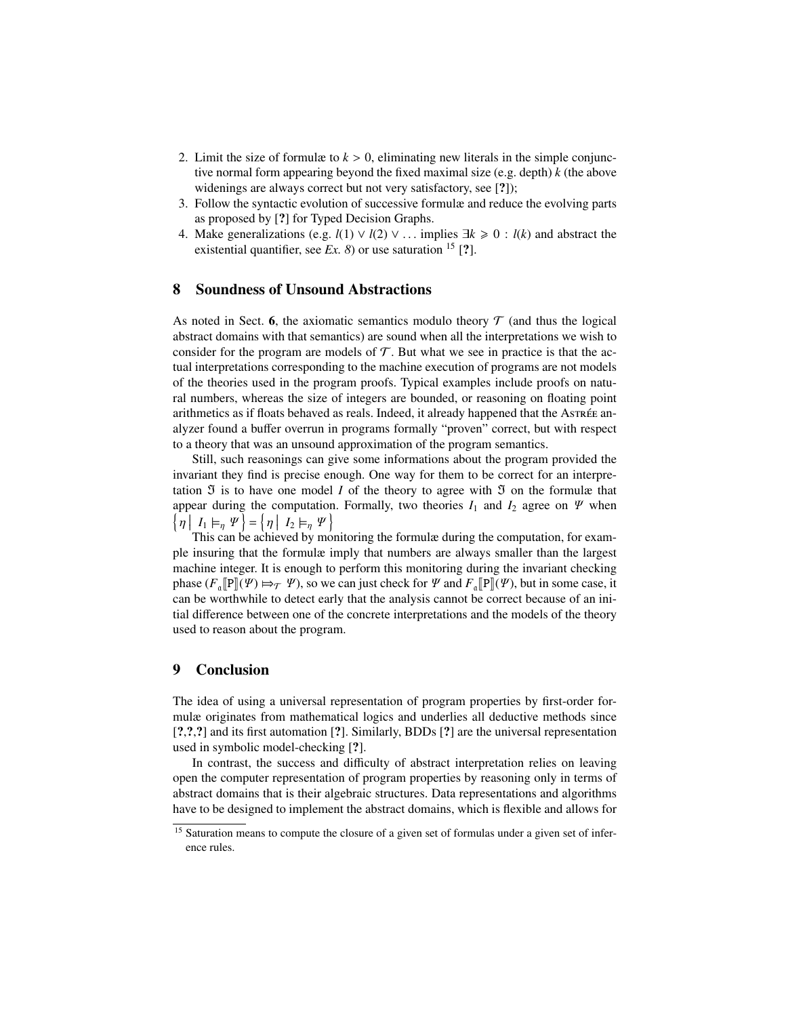- 2. Limit the size of formulæ to  $k > 0$ , eliminating new literals in the simple conjunctive normal form appearing beyond the fixed maximal size (e.g. depth) *k* (the above widenings are always correct but not very satisfactory, see [?]);
- 3. Follow the syntactic evolution of successive formulæ and reduce the evolving parts as proposed by [?] for Typed Decision Graphs.
- 4. Make generalizations (e.g. *<sup>l</sup>*(1) <sup>∨</sup> *<sup>l</sup>*(2) <sup>∨</sup> . . . implies <sup>∃</sup>*<sup>k</sup>* <sup>&</sup>gt; 0 : *<sup>l</sup>*(*k*) and abstract the existential quantifier, see *Ex.* [8](#page-17-1)) or use saturation  $^{15}$  $^{15}$  $^{15}$  [?].

# 8 Soundness of Unsound Abstractions

As noted in Sect. [6](#page-14-0), the axiomatic semantics modulo theory  $\mathcal T$  (and thus the logical abstract domains with that semantics) are sound when all the interpretations we wish to consider for the program are models of  $\mathcal T$ . But what we see in practice is that the actual interpretations corresponding to the machine execution of programs are not models of the theories used in the program proofs. Typical examples include proofs on natural numbers, whereas the size of integers are bounded, or reasoning on floating point arithmetics as if floats behaved as reals. Indeed, it already happened that the AsTREE analyzer found a buffer overrun in programs formally "proven" correct, but with respect to a theory that was an unsound approximation of the program semantics.

Still, such reasonings can give some informations about the program provided the invariant they find is precise enough. One way for them to be correct for an interpretation  $\mathfrak I$  is to have one model *I* of the theory to agree with  $\mathfrak I$  on the formulæ that appear during the computation. Formally, two theories  $I_1$  and  $I_2$  agree on  $\Psi$  when Į  $\left[ I_1 \models_{\eta} \Psi \right] = \left\{ \eta \mid I_2 \models_{\eta} \Psi \right\}$ <br>This can be achieved by mo

η This can be achieved by monitoring the formulæ during the computation, for example insuring that the formulæ imply that numbers are always smaller than the largest machine integer. It is enough to perform this monitoring during the invariant checking phase  $(F_\alpha[\mathbb{P}](\Psi) \mapsto_{\mathcal{T}} \Psi)$ , so we can just check for  $\Psi$  and  $F_\alpha[\mathbb{P}](\Psi)$ , but in some case, it can be worthwhile to detect early that the analysis cannot be correct because of an injcan be worthwhile to detect early that the analysis cannot be correct because of an initial difference between one of the concrete interpretations and the models of the theory used to reason about the program.

# 9 Conclusion

The idea of using a universal representation of program properties by first-order formulæ originates from mathematical logics and underlies all deductive methods since [?,?,?] and its first automation [?]. Similarly, BDDs [?] are the universal representation used in symbolic model-checking [?].

In contrast, the success and difficulty of abstract interpretation relies on leaving open the computer representation of program properties by reasoning only in terms of abstract domains that is their algebraic structures. Data representations and algorithms have to be designed to implement the abstract domains, which is flexible and allows for

<span id="page-20-0"></span><sup>&</sup>lt;sup>15</sup> Saturation means to compute the closure of a given set of formulas under a given set of inference rules.